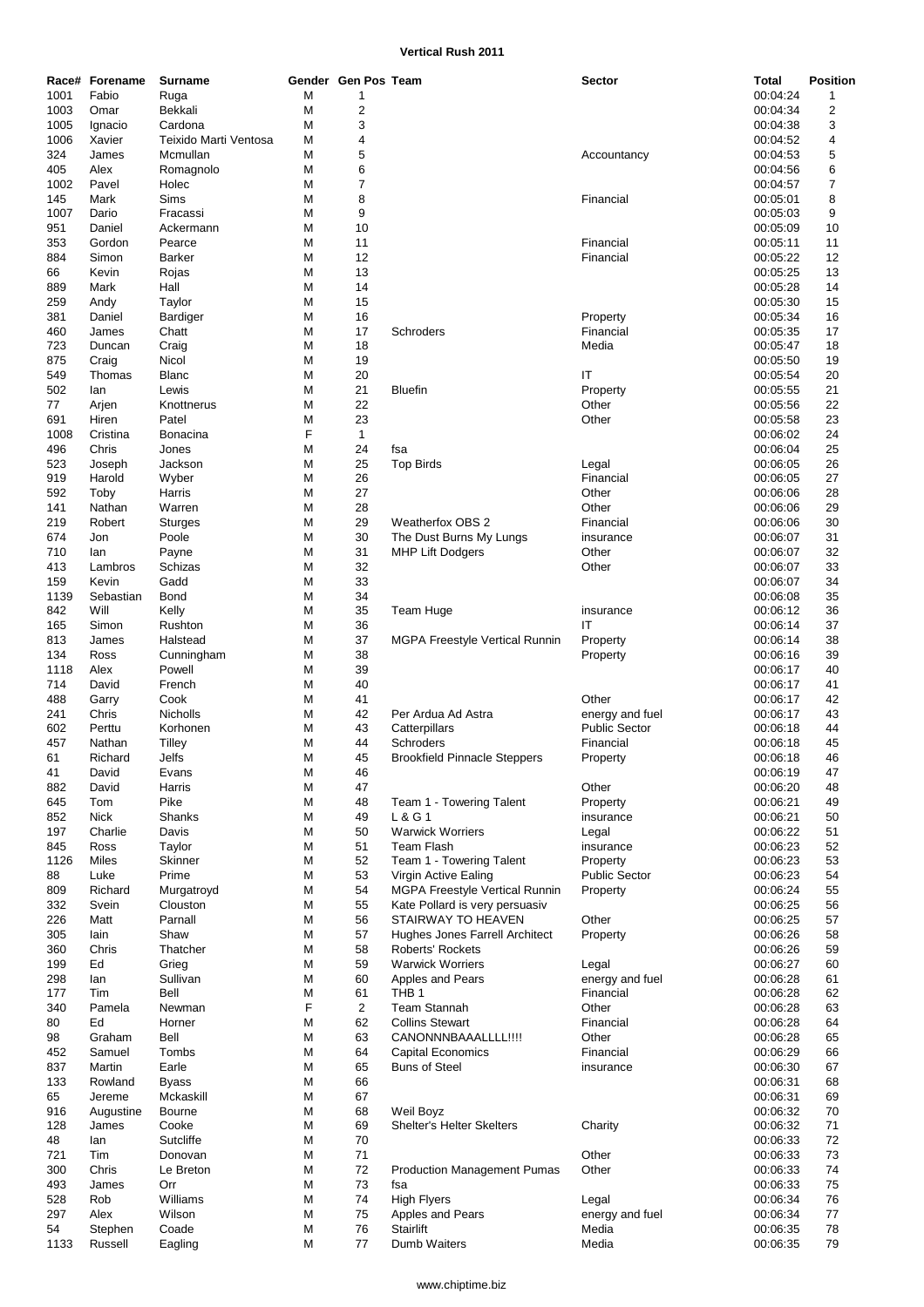## **Vertical Rush 2011**

|      | Race# Forename | <b>Surname</b>        |   | Gender Gen Pos Team |                                       | <b>Sector</b>        | <b>Total</b> | <b>Position</b>         |
|------|----------------|-----------------------|---|---------------------|---------------------------------------|----------------------|--------------|-------------------------|
| 1001 | Fabio          | Ruga                  | М | $\mathbf 1$         |                                       |                      | 00:04:24     | $\mathbf{1}$            |
| 1003 | Omar           | Bekkali               | M | $\overline{c}$      |                                       |                      | 00:04:34     | $\overline{\mathbf{c}}$ |
|      |                | Cardona               |   |                     |                                       |                      |              |                         |
| 1005 | Ignacio        |                       | M | 3                   |                                       |                      | 00:04:38     | 3                       |
| 1006 | Xavier         | Teixido Marti Ventosa | M | 4                   |                                       |                      | 00:04:52     | 4                       |
| 324  | James          | Mcmullan              | M | 5                   |                                       | Accountancy          | 00:04:53     | 5                       |
| 405  | Alex           | Romagnolo             | M | 6                   |                                       |                      | 00:04:56     | 6                       |
| 1002 | Pavel          | Holec                 | M | 7                   |                                       |                      | 00:04:57     | 7                       |
| 145  | Mark           | Sims                  | M | 8                   |                                       | Financial            | 00:05:01     | 8                       |
| 1007 | Dario          | Fracassi              | M | 9                   |                                       |                      | 00:05:03     | 9                       |
| 951  | Daniel         | Ackermann             | M | 10                  |                                       |                      | 00:05:09     | 10                      |
| 353  | Gordon         | Pearce                | M | 11                  |                                       | Financial            | 00:05:11     | 11                      |
|      |                |                       |   |                     |                                       |                      |              |                         |
| 884  | Simon          | <b>Barker</b>         | M | 12                  |                                       | Financial            | 00:05:22     | 12                      |
| 66   | Kevin          | Rojas                 | M | 13                  |                                       |                      | 00:05:25     | 13                      |
| 889  | Mark           | Hall                  | M | 14                  |                                       |                      | 00:05:28     | 14                      |
| 259  | Andy           | Taylor                | M | 15                  |                                       |                      | 00:05:30     | 15                      |
| 381  | Daniel         | Bardiger              | M | 16                  |                                       | Property             | 00:05:34     | 16                      |
| 460  | James          | Chatt                 | M | 17                  | Schroders                             | Financial            | 00:05:35     | 17                      |
| 723  | Duncan         | Craig                 | M | 18                  |                                       | Media                | 00:05:47     | 18                      |
| 875  | Craig          | Nicol                 | M | 19                  |                                       |                      | 00:05:50     | 19                      |
| 549  | Thomas         | <b>Blanc</b>          | M | 20                  |                                       | ΙT                   | 00:05:54     | 20                      |
|      |                |                       |   |                     |                                       |                      |              |                         |
| 502  | lan            | Lewis                 | M | 21                  | <b>Bluefin</b>                        | Property             | 00:05:55     | 21                      |
| 77   | Arjen          | Knottnerus            | M | 22                  |                                       | Other                | 00:05:56     | 22                      |
| 691  | Hiren          | Patel                 | M | 23                  |                                       | Other                | 00:05:58     | 23                      |
| 1008 | Cristina       | Bonacina              | F | $\mathbf{1}$        |                                       |                      | 00:06:02     | 24                      |
| 496  | Chris          | Jones                 | M | 24                  | fsa                                   |                      | 00:06:04     | 25                      |
| 523  | Joseph         | Jackson               | M | 25                  | <b>Top Birds</b>                      | Legal                | 00:06:05     | 26                      |
| 919  | Harold         | Wyber                 | M | 26                  |                                       | Financial            | 00:06:05     | 27                      |
|      |                |                       |   | 27                  |                                       | Other                |              |                         |
| 592  | Toby           | Harris                | M |                     |                                       |                      | 00:06:06     | 28                      |
| 141  | Nathan         | Warren                | M | 28                  |                                       | Other                | 00:06:06     | 29                      |
| 219  | Robert         | Sturges               | M | 29                  | <b>Weatherfox OBS 2</b>               | Financial            | 00:06:06     | 30                      |
| 674  | Jon            | Poole                 | M | 30                  | The Dust Burns My Lungs               | insurance            | 00:06:07     | 31                      |
| 710  | lan            | Payne                 | M | 31                  | <b>MHP Lift Dodgers</b>               | Other                | 00:06:07     | 32                      |
| 413  | Lambros        | Schizas               | M | 32                  |                                       | Other                | 00:06:07     | 33                      |
| 159  | Kevin          | Gadd                  | M | 33                  |                                       |                      | 00:06:07     | 34                      |
| 1139 | Sebastian      | <b>Bond</b>           | M | 34                  |                                       |                      | 00:06:08     | 35                      |
| 842  | Will           | Kelly                 | M | 35                  | <b>Team Huge</b>                      | insurance            | 00:06:12     | 36                      |
|      |                |                       |   |                     |                                       |                      |              |                         |
| 165  | Simon          | Rushton               | M | 36                  |                                       | IT                   | 00:06:14     | 37                      |
| 813  | James          | Halstead              | M | 37                  | <b>MGPA Freestyle Vertical Runnin</b> | Property             | 00:06:14     | 38                      |
| 134  | Ross           | Cunningham            | M | 38                  |                                       | Property             | 00:06:16     | 39                      |
| 1118 | Alex           | Powell                | M | 39                  |                                       |                      | 00:06:17     | 40                      |
| 714  | David          | French                | M | 40                  |                                       |                      | 00:06:17     | 41                      |
| 488  | Garry          | Cook                  | M | 41                  |                                       | Other                | 00:06:17     | 42                      |
| 241  | Chris          | Nicholls              | M | 42                  | Per Ardua Ad Astra                    | energy and fuel      | 00:06:17     | 43                      |
| 602  | Perttu         | Korhonen              | M | 43                  | Catterpillars                         | <b>Public Sector</b> | 00:06:18     | 44                      |
| 457  | Nathan         | Tilley                | M | 44                  | Schroders                             | Financial            | 00:06:18     | 45                      |
|      |                |                       |   |                     |                                       |                      |              |                         |
| 61   | Richard        | Jelfs                 | M | 45                  | <b>Brookfield Pinnacle Steppers</b>   | Property             | 00:06:18     | 46                      |
| 41   | David          | Evans                 | M | 46                  |                                       |                      | 00:06:19     | 47                      |
| 882  | David          | Harris                | M | 47                  |                                       | Other                | 00:06:20     | 48                      |
| 645  | Tom            | Pike                  | M | 48                  | Team 1 - Towering Talent              | Property             | 00:06:21     | 49                      |
| 852  | <b>Nick</b>    | Shanks                | M | 49                  | L & G 1                               | insurance            | 00:06:21     | 50                      |
| 197  | Charlie        | Davis                 | M | 50                  | <b>Warwick Worriers</b>               | Legal                | 00:06:22     | 51                      |
| 845  | Ross           | Taylor                | M | 51                  | <b>Team Flash</b>                     | insurance            | 00:06:23     | 52                      |
| 1126 | Miles          | Skinner               | M | 52                  | Team 1 - Towering Talent              | Property             | 00:06:23     | 53                      |
| 88   | Luke           | Prime                 | M | 53                  | Virgin Active Ealing                  | <b>Public Sector</b> | 00:06:23     | 54                      |
|      |                |                       |   | 54                  | <b>MGPA Freestyle Vertical Runnin</b> |                      |              |                         |
| 809  | Richard        | Murgatroyd            | M |                     |                                       | Property             | 00:06:24     | 55                      |
| 332  | Svein          | Clouston              | M | 55                  | Kate Pollard is very persuasiv        |                      | 00:06:25     | 56                      |
| 226  | Matt           | Parnall               | M | 56                  | STAIRWAY TO HEAVEN                    | Other                | 00:06:25     | 57                      |
| 305  | lain           | Shaw                  | M | 57                  | Hughes Jones Farrell Architect        | Property             | 00:06:26     | 58                      |
| 360  | Chris          | Thatcher              | M | 58                  | Roberts' Rockets                      |                      | 00:06:26     | 59                      |
| 199  | Ed             | Grieg                 | M | 59                  | <b>Warwick Worriers</b>               | Legal                | 00:06:27     | 60                      |
| 298  | lan            | Sullivan              | M | 60                  | Apples and Pears                      | energy and fuel      | 00:06:28     | 61                      |
| 177  | Tim            | Bell                  | M | 61                  | THB <sub>1</sub>                      | Financial            | 00:06:28     | 62                      |
| 340  | Pamela         | Newman                | F | $\overline{2}$      | <b>Team Stannah</b>                   | Other                | 00:06:28     | 63                      |
|      |                |                       |   |                     |                                       |                      |              |                         |
| 80   | Ed             | Horner                | M | 62                  | <b>Collins Stewart</b>                | Financial            | 00:06:28     | 64                      |
| 98   | Graham         | Bell                  | M | 63                  | CANONNNBAAALLLL!!!!                   | Other                | 00:06:28     | 65                      |
| 452  | Samuel         | Tombs                 | M | 64                  | <b>Capital Economics</b>              | Financial            | 00:06:29     | 66                      |
| 837  | Martin         | Earle                 | M | 65                  | <b>Buns of Steel</b>                  | insurance            | 00:06:30     | 67                      |
| 133  | Rowland        | <b>Byass</b>          | M | 66                  |                                       |                      | 00:06:31     | 68                      |
| 65   | Jereme         | Mckaskill             | M | 67                  |                                       |                      | 00:06:31     | 69                      |
| 916  | Augustine      | <b>Bourne</b>         | M | 68                  | Weil Boyz                             |                      | 00:06:32     | 70                      |
| 128  | James          | Cooke                 | M | 69                  | Shelter's Helter Skelters             | Charity              | 00:06:32     | 71                      |
| 48   | lan            | Sutcliffe             | M | 70                  |                                       |                      | 00:06:33     | 72                      |
|      |                |                       |   |                     |                                       |                      |              |                         |
| 721  | Tim            | Donovan               | M | 71                  |                                       | Other                | 00:06:33     | 73                      |
| 300  | Chris          | Le Breton             | M | 72                  | <b>Production Management Pumas</b>    | Other                | 00:06:33     | 74                      |
| 493  | James          | Orr                   | M | 73                  | fsa                                   |                      | 00:06:33     | 75                      |
| 528  | Rob            | Williams              | M | 74                  | <b>High Flyers</b>                    | Legal                | 00:06:34     | 76                      |
| 297  | Alex           | Wilson                | M | 75                  | Apples and Pears                      | energy and fuel      | 00:06:34     | 77                      |
| 54   | Stephen        | Coade                 | M | 76                  | Stairlift                             | Media                | 00:06:35     | 78                      |
| 1133 | Russell        | Eagling               | M | 77                  | Dumb Waiters                          | Media                | 00:06:35     | 79                      |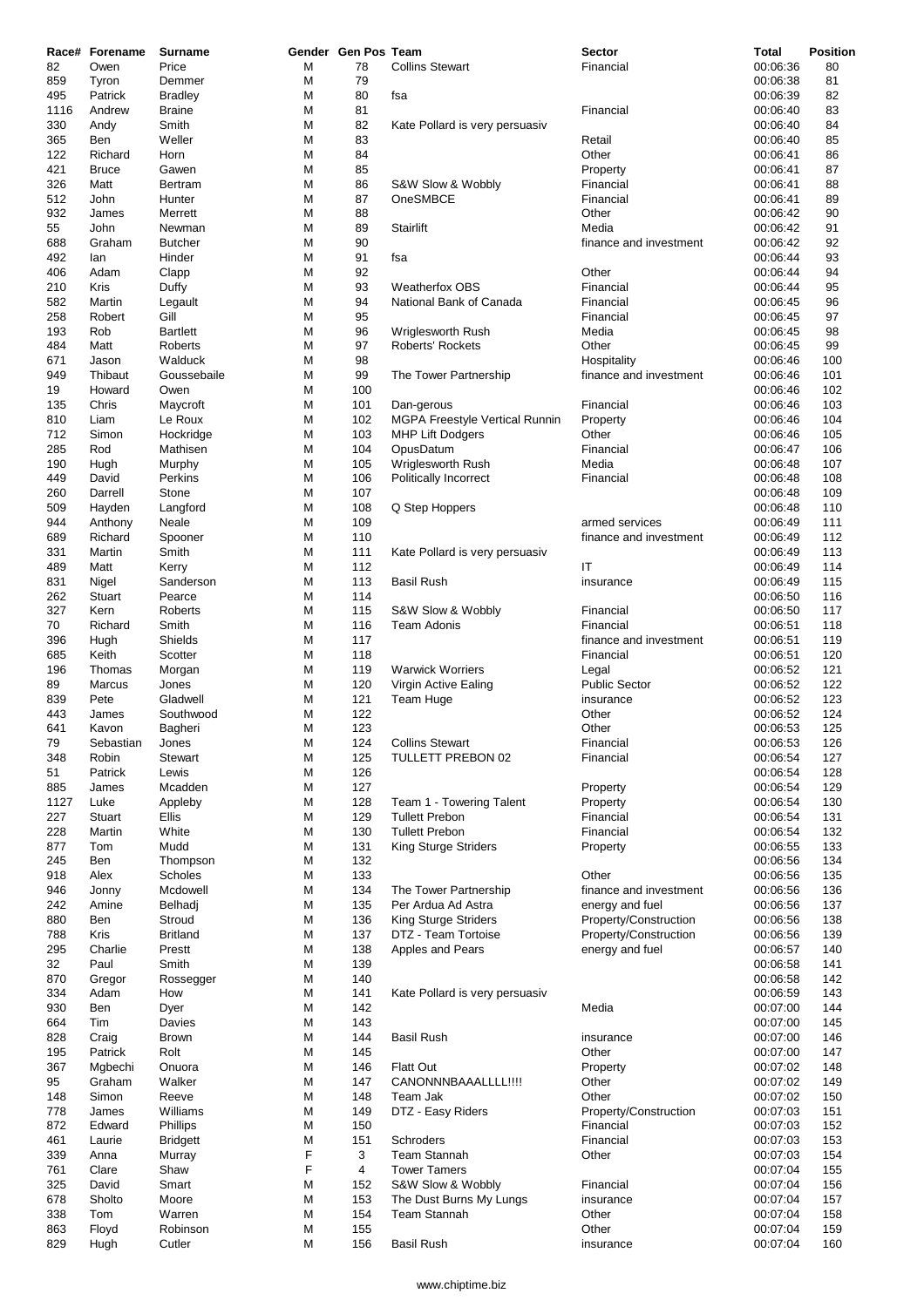|      | Race# Forename | <b>Surname</b>   |        | Gender Gen Pos Team |                                       | <b>Sector</b>          | <b>Total</b>         | Position   |
|------|----------------|------------------|--------|---------------------|---------------------------------------|------------------------|----------------------|------------|
| 82   | Owen           | Price            | М      | 78                  | <b>Collins Stewart</b>                | Financial              | 00:06:36             | 80         |
| 859  | Tyron          | Demmer           | M      | 79                  |                                       |                        | 00:06:38             | 81         |
| 495  | Patrick        | <b>Bradley</b>   | М      | 80                  | fsa                                   |                        | 00:06:39             | 82         |
| 1116 | Andrew         | <b>Braine</b>    | М      | 81                  |                                       | Financial              | 00:06:40             | 83         |
| 330  | Andy           | Smith            | M      | 82                  | Kate Pollard is very persuasiv        |                        | 00:06:40             | 84         |
| 365  | Ben            | Weller           | М      | 83                  |                                       | Retail                 | 00:06:40             | 85         |
| 122  | Richard        | Horn             | М      | 84                  |                                       | Other                  | 00:06:41             | 86         |
| 421  | <b>Bruce</b>   | Gawen            | M      | 85                  |                                       | Property               | 00:06:41             | 87         |
| 326  | Matt           | <b>Bertram</b>   | М      | 86                  | S&W Slow & Wobbly                     | Financial              | 00:06:41             | 88         |
| 512  | John           | Hunter           | М      | 87                  | OneSMBCE                              | Financial              | 00:06:41             | 89         |
| 932  | James          | Merrett          | M      | 88                  |                                       | Other                  | 00:06:42             | 90         |
| 55   | John           | Newman           | М      | 89                  | Stairlift                             | Media                  | 00:06:42             | 91         |
| 688  | Graham         | <b>Butcher</b>   | М      | 90                  |                                       | finance and investment | 00:06:42             | 92         |
| 492  | lan            | Hinder           | M      | 91                  | fsa                                   |                        | 00:06:44             | 93         |
| 406  | Adam           | Clapp            | M      | 92                  |                                       | Other                  | 00:06:44             | 94         |
| 210  | Kris           | Duffy            | М      | 93                  | <b>Weatherfox OBS</b>                 | Financial              | 00:06:44             | 95         |
| 582  | Martin         | Legault          | М      | 94                  | National Bank of Canada               | Financial              | 00:06:45             | 96         |
| 258  | Robert         | Gill             | М      | 95                  |                                       | Financial              | 00:06:45             | 97         |
| 193  | Rob            | <b>Bartlett</b>  | М      | 96                  | Wriglesworth Rush                     | Media                  | 00:06:45             | 98         |
| 484  | Matt           | Roberts          | M      | 97                  | <b>Roberts' Rockets</b>               | Other                  | 00:06:45             | 99         |
| 671  | Jason          | Walduck          | M      | 98                  |                                       | Hospitality            | 00:06:46             | 100        |
| 949  | Thibaut        | Goussebaile      | М      | 99                  | The Tower Partnership                 | finance and investment | 00:06:46             | 101        |
| 19   | Howard         | Owen             | М      | 100                 |                                       |                        | 00:06:46             | 102        |
| 135  | Chris          | Maycroft         | M      | 101                 | Dan-gerous                            | Financial              | 00:06:46             | 103        |
| 810  | Liam           | Le Roux          | М      | 102                 | <b>MGPA Freestyle Vertical Runnin</b> | Property               | 00:06:46             | 104        |
| 712  | Simon          | Hockridge        | M      | 103                 | <b>MHP Lift Dodgers</b>               | Other                  | 00:06:46             | 105        |
| 285  | Rod            | Mathisen         | М      | 104                 | OpusDatum                             | Financial              | 00:06:47             | 106        |
| 190  | Hugh           | Murphy           | М      | 105                 | Wriglesworth Rush                     | Media                  | 00:06:48             | 107        |
| 449  | David          | Perkins          | М      | 106                 | Politically Incorrect                 | Financial              | 00:06:48             | 108        |
| 260  | Darrell        | Stone            | М      | 107                 |                                       |                        | 00:06:48             | 109        |
| 509  | Hayden         | Langford         | М      | 108                 | Q Step Hoppers                        |                        | 00:06:48             | 110        |
| 944  | Anthony        | Neale            | М      | 109                 |                                       | armed services         | 00:06:49             | 111        |
| 689  | Richard        | Spooner          | M      | 110                 |                                       | finance and investment | 00:06:49             | 112        |
| 331  | Martin         | Smith            | М      | 111                 | Kate Pollard is very persuasiv        |                        | 00:06:49             | 113        |
| 489  | Matt           | Kerry            | М      | 112                 |                                       | IT                     | 00:06:49             | 114        |
| 831  | Nigel          | Sanderson        | М      | 113                 | <b>Basil Rush</b>                     | insurance              | 00:06:49             | 115        |
| 262  | Stuart         | Pearce           | М      | 114                 |                                       |                        | 00:06:50             | 116        |
| 327  | Kern           | Roberts          | М      | 115                 | S&W Slow & Wobbly                     | Financial              | 00:06:50             | 117        |
| 70   | Richard        | Smith            | M      | 116                 | <b>Team Adonis</b>                    | Financial              | 00:06:51             | 118        |
| 396  | Hugh           | Shields          | М      | 117                 |                                       | finance and investment | 00:06:51             | 119        |
| 685  | Keith          | Scotter          | М      | 118                 |                                       | Financial              | 00:06:51             | 120        |
| 196  | Thomas         | Morgan           | М      | 119                 | <b>Warwick Worriers</b>               | Legal                  | 00:06:52             | 121        |
| 89   | Marcus         | Jones            | M      | 120                 | Virgin Active Ealing                  | <b>Public Sector</b>   | 00:06:52             | 122        |
| 839  | Pete           | Gladwell         | М      | 121                 | <b>Team Huge</b>                      | insurance              | 00:06:52             | 123        |
| 443  | James          | Southwood        | M      | 122                 |                                       | Other                  | 00:06:52             | 124        |
| 641  | Kavon          | Bagheri          | M      | 123                 |                                       | Other                  | 00:06:53             | 125        |
| 79   | Sebastian      | Jones            | M      | 124                 | <b>Collins Stewart</b>                | Financial              | 00:06:53             | 126        |
| 348  | Robin          | Stewart          | M      | 125                 | TULLETT PREBON 02                     | Financial              | 00:06:54             | 127        |
| 51   | Patrick        | Lewis            | M      | 126                 |                                       |                        | 00:06:54             | 128        |
| 885  | James          | Mcadden          | M      | 127                 |                                       | Property               | 00:06:54             | 129        |
| 1127 | Luke           | Appleby          | M      | 128                 | Team 1 - Towering Talent              | Property               | 00:06:54             | 130        |
| 227  | Stuart         | Ellis            | M      | 129                 | <b>Tullett Prebon</b>                 | Financial              | 00:06:54             | 131        |
| 228  | Martin         | White            | М      | 130                 | <b>Tullett Prebon</b>                 | Financial              | 00:06:54             | 132        |
| 877  | Tom            | Mudd             | M      | 131                 | King Sturge Striders                  | Property               | 00:06:55             | 133        |
| 245  | Ben            | Thompson         | M      | 132                 |                                       |                        | 00:06:56             | 134        |
| 918  | Alex           | Scholes          | M      | 133                 |                                       | Other                  | 00:06:56             | 135        |
| 946  | Jonny          | Mcdowell         | M      | 134                 | The Tower Partnership                 | finance and investment | 00:06:56             | 136        |
| 242  | Amine          | Belhadj          | M      | 135                 | Per Ardua Ad Astra                    | energy and fuel        | 00:06:56             | 137        |
| 880  | Ben            | Stroud           | М      | 136                 | <b>King Sturge Striders</b>           | Property/Construction  | 00:06:56             | 138        |
| 788  | Kris           | <b>Britland</b>  | М      | 137                 | DTZ - Team Tortoise                   | Property/Construction  | 00:06:56             | 139        |
| 295  | Charlie        | Prestt           | M      | 138                 | Apples and Pears                      | energy and fuel        | 00:06:57             | 140        |
| 32   | Paul           | Smith            | M      | 139                 |                                       |                        | 00:06:58             | 141        |
| 870  |                |                  | M      | 140                 |                                       |                        | 00:06:58             | 142        |
| 334  | Gregor<br>Adam | Rossegger<br>How | M      | 141                 | Kate Pollard is very persuasiv        |                        | 00:06:59             | 143        |
|      |                |                  |        |                     |                                       |                        |                      |            |
| 930  | Ben<br>Tim     | Dyer<br>Davies   | M<br>М | 142<br>143          |                                       | Media                  | 00:07:00             | 144<br>145 |
| 664  |                |                  |        |                     |                                       |                        | 00:07:00             |            |
| 828  | Craig          | <b>Brown</b>     | M      | 144                 | <b>Basil Rush</b>                     | insurance              | 00:07:00             | 146        |
| 195  | Patrick        | Rolt             | M      | 145                 |                                       | Other                  | 00:07:00<br>00:07:02 | 147        |
| 367  | Mgbechi        | Onuora           | M      | 146                 | <b>Flatt Out</b>                      | Property               |                      | 148        |
| 95   | Graham         | Walker           | M      | 147                 | CANONNNBAAALLLL!!!!                   | Other                  | 00:07:02             | 149        |
| 148  | Simon          | Reeve            | M      | 148                 | Team Jak                              | Other                  | 00:07:02             | 150        |
| 778  | James          | Williams         | M      | 149                 | DTZ - Easy Riders                     | Property/Construction  | 00:07:03             | 151        |
| 872  | Edward         | Phillips         | M      | 150                 |                                       | Financial              | 00:07:03             | 152        |
| 461  | Laurie         | <b>Bridgett</b>  | M      | 151                 | Schroders                             | Financial              | 00:07:03             | 153        |
| 339  | Anna           | Murray           | F      | 3                   | <b>Team Stannah</b>                   | Other                  | 00:07:03             | 154        |
| 761  | Clare          | Shaw             | F      | 4                   | <b>Tower Tamers</b>                   |                        | 00:07:04             | 155        |
| 325  | David          | Smart            | M      | 152                 | S&W Slow & Wobbly                     | Financial              | 00:07:04             | 156        |
| 678  | Sholto         | Moore            | М      | 153                 | The Dust Burns My Lungs               | insurance              | 00:07:04             | 157        |
| 338  | Tom            | Warren           | M      | 154                 | Team Stannah                          | Other                  | 00:07:04             | 158        |
| 863  | Floyd          | Robinson         | М      | 155                 |                                       | Other                  | 00:07:04             | 159        |
| 829  | Hugh           | Cutler           | М      | 156                 | <b>Basil Rush</b>                     | insurance              | 00:07:04             | 160        |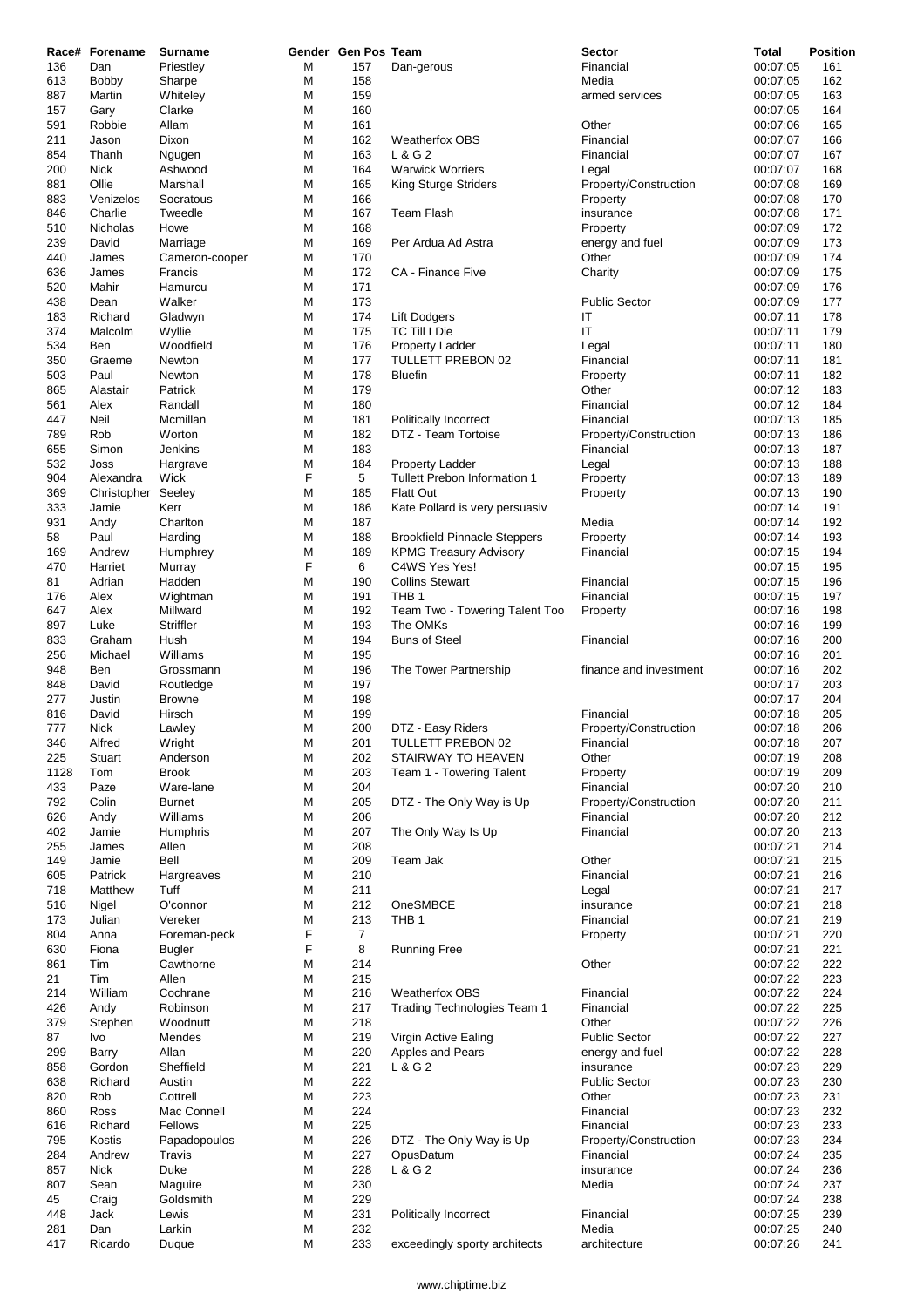|            | Race# Forename       | Surname                    |        | Gender Gen Pos Team |                                     | <b>Sector</b>            | Total                | <b>Position</b> |
|------------|----------------------|----------------------------|--------|---------------------|-------------------------------------|--------------------------|----------------------|-----------------|
| 136        | Dan                  | Priestley                  | M      | 157                 | Dan-gerous                          | Financial                | 00:07:05             | 161             |
| 613        | <b>Bobby</b>         | Sharpe                     | M      | 158                 |                                     | Media                    | 00:07:05             | 162             |
| 887        | Martin               | Whiteley                   | M      | 159                 |                                     | armed services           | 00:07:05             | 163             |
| 157        | Gary                 | Clarke                     | M      | 160                 |                                     |                          | 00:07:05             | 164             |
| 591        | Robbie               | Allam                      | M      | 161                 |                                     | Other                    | 00:07:06             | 165             |
| 211        | Jason                | Dixon                      | M      | 162                 | <b>Weatherfox OBS</b>               | Financial                | 00:07:07             | 166             |
| 854        | Thanh                | Ngugen                     | M      | 163                 | L & G 2                             | Financial                | 00:07:07             | 167             |
| 200        | Nick                 | Ashwood                    | M      | 164                 | <b>Warwick Worriers</b>             | Legal                    | 00:07:07             | 168             |
| 881<br>883 | Ollie                | Marshall                   | M      | 165<br>166          | King Sturge Striders                | Property/Construction    | 00:07:08<br>00:07:08 | 169             |
|            | Venizelos<br>Charlie | Socratous<br>Tweedle       | M<br>M | 167                 | <b>Team Flash</b>                   | Property                 | 00:07:08             | 170<br>171      |
| 846<br>510 | <b>Nicholas</b>      | Howe                       | M      | 168                 |                                     | insurance                | 00:07:09             | 172             |
| 239        | David                |                            | M      | 169                 | Per Ardua Ad Astra                  | Property                 | 00:07:09             | 173             |
| 440        | James                | Marriage<br>Cameron-cooper | M      | 170                 |                                     | energy and fuel<br>Other | 00:07:09             | 174             |
| 636        | James                | Francis                    | M      | 172                 | CA - Finance Five                   | Charity                  | 00:07:09             | 175             |
| 520        | Mahir                | Hamurcu                    | M      | 171                 |                                     |                          | 00:07:09             | 176             |
| 438        | Dean                 | Walker                     | M      | 173                 |                                     | <b>Public Sector</b>     | 00:07:09             | 177             |
| 183        | Richard              | Gladwyn                    | M      | 174                 | <b>Lift Dodgers</b>                 | IT                       | 00:07:11             | 178             |
| 374        | Malcolm              | Wyllie                     | M      | 175                 | <b>TC Till I Die</b>                | IT                       | 00:07:11             | 179             |
| 534        | Ben                  | Woodfield                  | M      | 176                 | <b>Property Ladder</b>              | Legal                    | 00:07:11             | 180             |
| 350        | Graeme               | Newton                     | M      | 177                 | TULLETT PREBON 02                   | Financial                | 00:07:11             | 181             |
| 503        | Paul                 | Newton                     | M      | 178                 | <b>Bluefin</b>                      | Property                 | 00:07:11             | 182             |
| 865        | Alastair             | Patrick                    | M      | 179                 |                                     | Other                    | 00:07:12             | 183             |
| 561        | Alex                 | Randall                    | M      | 180                 |                                     | Financial                | 00:07:12             | 184             |
| 447        | Neil                 | Mcmillan                   | M      | 181                 | Politically Incorrect               | Financial                | 00:07:13             | 185             |
| 789        | Rob                  | Worton                     | M      | 182                 | DTZ - Team Tortoise                 | Property/Construction    | 00:07:13             | 186             |
| 655        | Simon                | Jenkins                    | M      | 183                 |                                     | Financial                | 00:07:13             | 187             |
| 532        | Joss                 | Hargrave                   | M      | 184                 | Property Ladder                     | Legal                    | 00:07:13             | 188             |
| 904        | Alexandra            | Wick                       | F      | 5                   | Tullett Prebon Information 1        | Property                 | 00:07:13             | 189             |
| 369        | Christopher          | Seeley                     | M      | 185                 | <b>Flatt Out</b>                    | Property                 | 00:07:13             | 190             |
| 333        | Jamie                | Kerr                       | M      | 186                 | Kate Pollard is very persuasiv      |                          | 00:07:14             | 191             |
| 931        | Andy                 | Charlton                   | M      | 187                 |                                     | Media                    | 00:07:14             | 192             |
| 58         | Paul                 | Harding                    | M      | 188                 | <b>Brookfield Pinnacle Steppers</b> | Property                 | 00:07:14             | 193             |
| 169        | Andrew               | Humphrey                   | M      | 189                 | <b>KPMG Treasury Advisory</b>       | Financial                | 00:07:15             | 194             |
| 470        | Harriet              | Murray                     | F      | 6                   | C4WS Yes Yes!                       |                          | 00:07:15             | 195             |
| 81         | Adrian               | Hadden                     | M      | 190                 | <b>Collins Stewart</b>              | Financial                | 00:07:15             | 196             |
| 176        | Alex                 | Wightman                   | M      | 191                 | THB <sub>1</sub>                    | Financial                | 00:07:15             | 197             |
| 647        | Alex                 | Millward                   | M      | 192                 | Team Two - Towering Talent Too      | Property                 | 00:07:16             | 198             |
| 897        | Luke                 | Striffler                  | M      | 193                 | The OMKs                            |                          | 00:07:16             | 199             |
| 833        | Graham               | Hush                       | M      | 194                 | <b>Buns of Steel</b>                | Financial                | 00:07:16             | 200             |
| 256        | Michael              | Williams                   | M      | 195                 |                                     |                          | 00:07:16             | 201             |
| 948        | Ben                  | Grossmann                  | M      | 196                 | The Tower Partnership               | finance and investment   | 00:07:16             | 202             |
| 848        | David                | Routledge                  | M      | 197                 |                                     |                          | 00:07:17             | 203             |
| 277        | Justin               | <b>Browne</b>              | M      | 198                 |                                     |                          | 00:07:17             | 204             |
| 816        | David                | Hirsch                     | M      | 199                 |                                     | Financial                | 00:07:18             | 205             |
| 777        | <b>Nick</b>          | Lawley                     | M      | 200                 | DTZ - Easy Riders                   | Property/Construction    | 00:07:18             | 206             |
| 346        | Alfred               | Wright                     | M      | 201                 | TULLETT PREBON 02                   | Financial                | 00:07:18             | 207             |
| 225        | Stuart               | Anderson                   | M      | 202                 | STAIRWAY TO HEAVEN                  | Other                    | 00:07:19             | 208             |
| 1128       | Tom                  | <b>Brook</b>               | M      | 203                 | Team 1 - Towering Talent            | Property                 | 00:07:19             | 209             |
| 433        | Paze                 | Ware-lane                  | M      | 204                 |                                     | Financial                | 00:07:20             | 210             |
| 792        | Colin                | <b>Burnet</b>              | M      | 205                 | DTZ - The Only Way is Up            | Property/Construction    | 00:07:20             | 211             |
| 626        | Andy                 | Williams                   | M      | 206                 |                                     | Financial                | 00:07:20             | 212             |
| 402        | Jamie                | Humphris                   | M      | 207                 | The Only Way Is Up                  | Financial                | 00:07:20             | 213             |
| 255        | James                | Allen                      | М      | 208                 |                                     |                          | 00:07:21             | 214             |
| 149        | Jamie                | Bell                       | М      | 209                 | Team Jak                            | Other                    | 00:07:21             | 215             |
| 605        | Patrick              | Hargreaves                 | M      | 210                 |                                     | Financial                | 00:07:21             | 216             |
| 718        | Matthew              | Tuff                       | M      | 211                 |                                     | Legal                    | 00:07:21             | 217             |
| 516        | Nigel                | O'connor                   | M      | 212                 | OneSMBCE                            | insurance                | 00:07:21             | 218             |
| 173        | Julian               | Vereker                    | M      | 213                 | THB <sub>1</sub>                    | Financial                | 00:07:21             | 219             |
| 804        | Anna                 | Foreman-peck               | F      | $\overline{7}$      |                                     | Property                 | 00:07:21             | 220             |
| 630        | Fiona                | <b>Bugler</b>              | F      | 8                   | <b>Running Free</b>                 |                          | 00:07:21             | 221             |
| 861        | Tim                  | Cawthorne                  | M      | 214                 |                                     | Other                    | 00:07:22             | 222             |
| 21         | Tim                  | Allen                      | M      | 215                 |                                     |                          | 00:07:22             | 223             |
| 214        | William              | Cochrane                   | M      | 216                 | <b>Weatherfox OBS</b>               | Financial                | 00:07:22             | 224             |
| 426        | Andy                 | Robinson                   | M      | 217                 | Trading Technologies Team 1         | Financial                | 00:07:22             | 225             |
| 379        | Stephen              | Woodnutt                   | M      | 218                 |                                     | Other                    | 00:07:22             | 226             |
| 87         | Ivo                  | Mendes                     | M      | 219                 | Virgin Active Ealing                | <b>Public Sector</b>     | 00:07:22             | 227             |
| 299        | Barry                | Allan                      | M      | 220                 | Apples and Pears                    | energy and fuel          | 00:07:22             | 228             |
| 858        | Gordon               | Sheffield                  | M      | 221                 | L & G 2                             | insurance                | 00:07:23             | 229             |
| 638        | Richard              | Austin                     | M      | 222                 |                                     | <b>Public Sector</b>     | 00:07:23             | 230             |
| 820        | Rob                  | Cottrell                   | М      | 223                 |                                     | Other                    | 00:07:23             | 231             |
| 860        | Ross                 | Mac Connell                | M      | 224                 |                                     | Financial                | 00:07:23             | 232             |
| 616        | Richard              | Fellows                    | М      | 225                 |                                     | Financial                | 00:07:23             | 233             |
| 795        | Kostis               | Papadopoulos               | М      | 226                 | DTZ - The Only Way is Up            | Property/Construction    | 00:07:23             | 234             |
| 284        | Andrew               | Travis                     | M      | 227                 | OpusDatum                           | Financial                | 00:07:24             | 235             |
| 857        | Nick                 | Duke                       | M      | 228                 | L & G 2                             | insurance                | 00:07:24             | 236             |
| 807        | Sean                 | Maguire                    | M      | 230                 |                                     | Media                    | 00:07:24             | 237             |
| 45         | Craig                | Goldsmith                  | М      | 229                 |                                     |                          | 00:07:24             | 238             |
| 448        | Jack                 | Lewis                      | М      | 231                 | Politically Incorrect               | Financial                | 00:07:25             | 239             |
| 281        | Dan                  | Larkin                     | М      | 232                 |                                     | Media                    | 00:07:25             | 240             |
| 417        | Ricardo              | Duque                      | М      | 233                 | exceedingly sporty architects       | architecture             | 00:07:26             | 241             |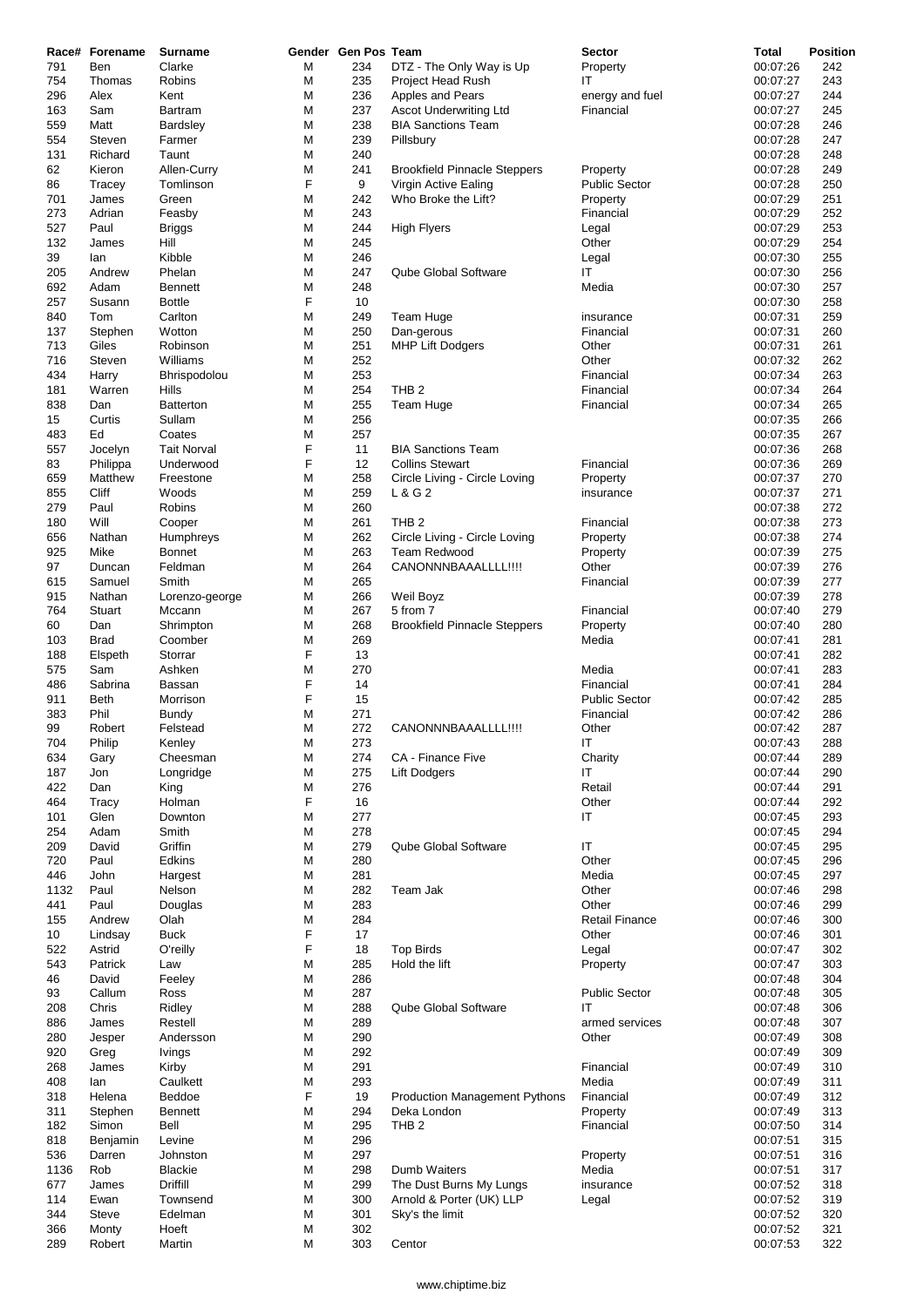|      | Race# Forename | Surname            |   | Gender Gen Pos Team |                                      | <b>Sector</b>         | Total    | Position |
|------|----------------|--------------------|---|---------------------|--------------------------------------|-----------------------|----------|----------|
| 791  | Ben            | Clarke             | M | 234                 | DTZ - The Only Way is Up             | Property              | 00:07:26 | 242      |
| 754  | Thomas         | Robins             | M | 235                 | Project Head Rush                    | ΙT                    | 00:07:27 | 243      |
| 296  | Alex           | Kent               | M | 236                 | Apples and Pears                     | energy and fuel       | 00:07:27 | 244      |
| 163  | Sam            | Bartram            | M | 237                 | <b>Ascot Underwriting Ltd</b>        | Financial             | 00:07:27 | 245      |
| 559  | Matt           | Bardsley           | M | 238                 | <b>BIA Sanctions Team</b>            |                       | 00:07:28 | 246      |
| 554  | Steven         | Farmer             | M | 239                 | Pillsbury                            |                       | 00:07:28 | 247      |
| 131  | Richard        | Taunt              | M | 240                 |                                      |                       | 00:07:28 | 248      |
| 62   | Kieron         | Allen-Curry        | M | 241                 | <b>Brookfield Pinnacle Steppers</b>  | Property              | 00:07:28 | 249      |
| 86   | Tracey         | Tomlinson          | F | 9                   | Virgin Active Ealing                 | <b>Public Sector</b>  | 00:07:28 | 250      |
| 701  | James          | Green              | M | 242                 | Who Broke the Lift?                  | Property              | 00:07:29 | 251      |
| 273  | Adrian         | Feasby             | M | 243                 |                                      | Financial             | 00:07:29 | 252      |
| 527  | Paul           | Briggs             | M | 244                 | High Flyers                          | Legal                 | 00:07:29 | 253      |
| 132  | James          | Hill               | M | 245                 |                                      | Other                 | 00:07:29 | 254      |
| 39   | lan            | Kibble             | M | 246                 |                                      | Legal                 | 00:07:30 | 255      |
| 205  | Andrew         | Phelan             | M | 247                 | Qube Global Software                 | ΙT                    | 00:07:30 | 256      |
| 692  | Adam           | <b>Bennett</b>     | M | 248                 |                                      | Media                 | 00:07:30 | 257      |
| 257  | Susann         | <b>Bottle</b>      | F | 10                  |                                      |                       | 00:07:30 | 258      |
| 840  | Tom            | Carlton            | M | 249                 | Team Huge                            | insurance             | 00:07:31 | 259      |
| 137  | Stephen        | Wotton             | M | 250                 | Dan-gerous                           | Financial             | 00:07:31 | 260      |
| 713  | Giles          | Robinson           | M | 251                 | <b>MHP Lift Dodgers</b>              | Other                 | 00:07:31 | 261      |
| 716  | Steven         | Williams           | M | 252                 |                                      | Other                 | 00:07:32 | 262      |
| 434  | Harry          | Bhrispodolou       | M | 253                 |                                      | Financial             | 00:07:34 | 263      |
| 181  | Warren         | Hills              | M | 254                 | THB <sub>2</sub>                     | Financial             | 00:07:34 | 264      |
| 838  | Dan            | <b>Batterton</b>   | M | 255                 | Team Huge                            | Financial             | 00:07:34 | 265      |
| 15   | Curtis         | Sullam             | M | 256                 |                                      |                       | 00:07:35 | 266      |
| 483  | Ed             | Coates             | M | 257                 |                                      |                       | 00:07:35 | 267      |
| 557  | Jocelyn        | <b>Tait Norval</b> | F | 11                  | <b>BIA Sanctions Team</b>            |                       | 00:07:36 | 268      |
| 83   | Philippa       | Underwood          | F | 12                  | <b>Collins Stewart</b>               | Financial             | 00:07:36 | 269      |
| 659  | Matthew        | Freestone          | M | 258                 | Circle Living - Circle Loving        | Property              | 00:07:37 | 270      |
| 855  | Cliff          | Woods              | M | 259                 | L & G 2                              | insurance             | 00:07:37 | 271      |
| 279  | Paul           | Robins             | M | 260                 |                                      |                       | 00:07:38 | 272      |
| 180  | Will           | Cooper             | M | 261                 | THB <sub>2</sub>                     | Financial             | 00:07:38 | 273      |
| 656  | Nathan         | Humphreys          | M | 262                 | Circle Living - Circle Loving        | Property              | 00:07:38 | 274      |
| 925  | Mike           | <b>Bonnet</b>      | M | 263                 | <b>Team Redwood</b>                  | Property              | 00:07:39 | 275      |
| 97   | Duncan         | Feldman            | M | 264                 | CANONNNBAAALLLL!!!!                  | Other                 | 00:07:39 | 276      |
| 615  | Samuel         | Smith              | M | 265                 |                                      | Financial             | 00:07:39 | 277      |
| 915  | Nathan         | Lorenzo-george     | M | 266                 | Weil Boyz                            |                       | 00:07:39 | 278      |
| 764  | Stuart         | Mccann             | M | 267                 | 5 from 7                             | Financial             | 00:07:40 | 279      |
| 60   | Dan            | Shrimpton          | M | 268                 | <b>Brookfield Pinnacle Steppers</b>  | Property              | 00:07:40 | 280      |
| 103  | <b>Brad</b>    | Coomber            | M | 269                 |                                      | Media                 | 00:07:41 | 281      |
| 188  | Elspeth        | Storrar            | F | 13                  |                                      |                       | 00:07:41 | 282      |
| 575  | Sam            | Ashken             | M | 270                 |                                      | Media                 | 00:07:41 | 283      |
| 486  | Sabrina        | Bassan             | F | 14                  |                                      | Financial             | 00:07:41 | 284      |
| 911  | <b>Beth</b>    | Morrison           | F | 15                  |                                      | <b>Public Sector</b>  | 00:07:42 | 285      |
| 383  | Phil           | Bundy              | M | 271                 |                                      | Financial             | 00:07:42 | 286      |
| 99   | Robert         | Felstead           | M | 272                 | CANONNNBAAALLLL!!!!                  | Other                 | 00:07:42 | 287      |
| 704  | Philip         | Kenley             | M | 273                 |                                      | IT                    | 00:07:43 | 288      |
| 634  | Gary           | Cheesman           | M | 274                 | CA - Finance Five                    | Charity               | 00:07:44 | 289      |
| 187  | Jon            | Longridge          | M | 275                 | Lift Dodgers                         | IT                    | 00:07:44 | 290      |
| 422  | Dan            | King               | M | 276                 |                                      | Retail                | 00:07:44 | 291      |
| 464  | Tracy          | Holman             | F | 16                  |                                      | Other                 | 00:07:44 | 292      |
| 101  | Glen           | Downton            | M | 277                 |                                      | IT                    | 00:07:45 | 293      |
| 254  | Adam           | Smith              | M | 278                 |                                      |                       | 00:07:45 | 294      |
| 209  | David          | Griffin            | M | 279                 | Qube Global Software                 | ΙT                    | 00:07:45 | 295      |
| 720  | Paul           | Edkins             | M | 280                 |                                      | Other                 | 00:07:45 | 296      |
| 446  | John           | Hargest            | M | 281                 |                                      | Media                 | 00:07:45 | 297      |
| 1132 | Paul           | Nelson             | M | 282                 | Team Jak                             | Other                 | 00:07:46 | 298      |
| 441  | Paul           | Douglas            | M | 283                 |                                      | Other                 | 00:07:46 | 299      |
| 155  | Andrew         | Olah               | M | 284                 |                                      | <b>Retail Finance</b> | 00:07:46 | 300      |
| 10   | Lindsay        | <b>Buck</b>        | F | 17                  |                                      | Other                 | 00:07:46 | 301      |
| 522  | Astrid         | O'reilly           | F | 18                  | <b>Top Birds</b>                     | Legal                 | 00:07:47 | 302      |
| 543  | Patrick        | Law                | M | 285                 | Hold the lift                        | Property              | 00:07:47 | 303      |
| 46   | David          | Feeley             | M | 286                 |                                      |                       | 00:07:48 | 304      |
| 93   | Callum         | Ross               | M | 287                 |                                      | <b>Public Sector</b>  | 00:07:48 | 305      |
| 208  | Chris          | Ridley             | M | 288                 | Qube Global Software                 | ΙT                    | 00:07:48 | 306      |
| 886  | James          | Restell            | M | 289                 |                                      | armed services        | 00:07:48 | 307      |
| 280  | Jesper         | Andersson          | M | 290                 |                                      | Other                 | 00:07:49 | 308      |
| 920  | Greg           | Ivings             | M | 292                 |                                      |                       | 00:07:49 | 309      |
| 268  | James          | Kirby              | M | 291                 |                                      | Financial             | 00:07:49 | 310      |
| 408  | lan            | Caulkett           | M | 293                 |                                      | Media                 | 00:07:49 | 311      |
| 318  | Helena         | Beddoe             | F | 19                  | <b>Production Management Pythons</b> | Financial             | 00:07:49 | 312      |
| 311  | Stephen        | <b>Bennett</b>     | M | 294                 | Deka London                          | Property              | 00:07:49 | 313      |
| 182  | Simon          | Bell               | M | 295                 | THB <sub>2</sub>                     | Financial             | 00:07:50 | 314      |
| 818  | Benjamin       | Levine             | M | 296                 |                                      |                       | 00:07:51 | 315      |
| 536  | Darren         | Johnston           | M | 297                 |                                      | Property              | 00:07:51 | 316      |
| 1136 | Rob            | <b>Blackie</b>     | M | 298                 | Dumb Waiters                         | Media                 | 00:07:51 | 317      |
| 677  | James          | Driffill           | M | 299                 | The Dust Burns My Lungs              | insurance             | 00:07:52 | 318      |
| 114  | Ewan           | Townsend           | M | 300                 | Arnold & Porter (UK) LLP             | Legal                 | 00:07:52 | 319      |
| 344  | Steve          | Edelman            | M | 301                 | Sky's the limit                      |                       | 00:07:52 | 320      |
| 366  | Monty          | Hoeft              | M | 302                 |                                      |                       | 00:07:52 | 321      |
| 289  | Robert         | Martin             | M | 303                 | Centor                               |                       | 00:07:53 | 322      |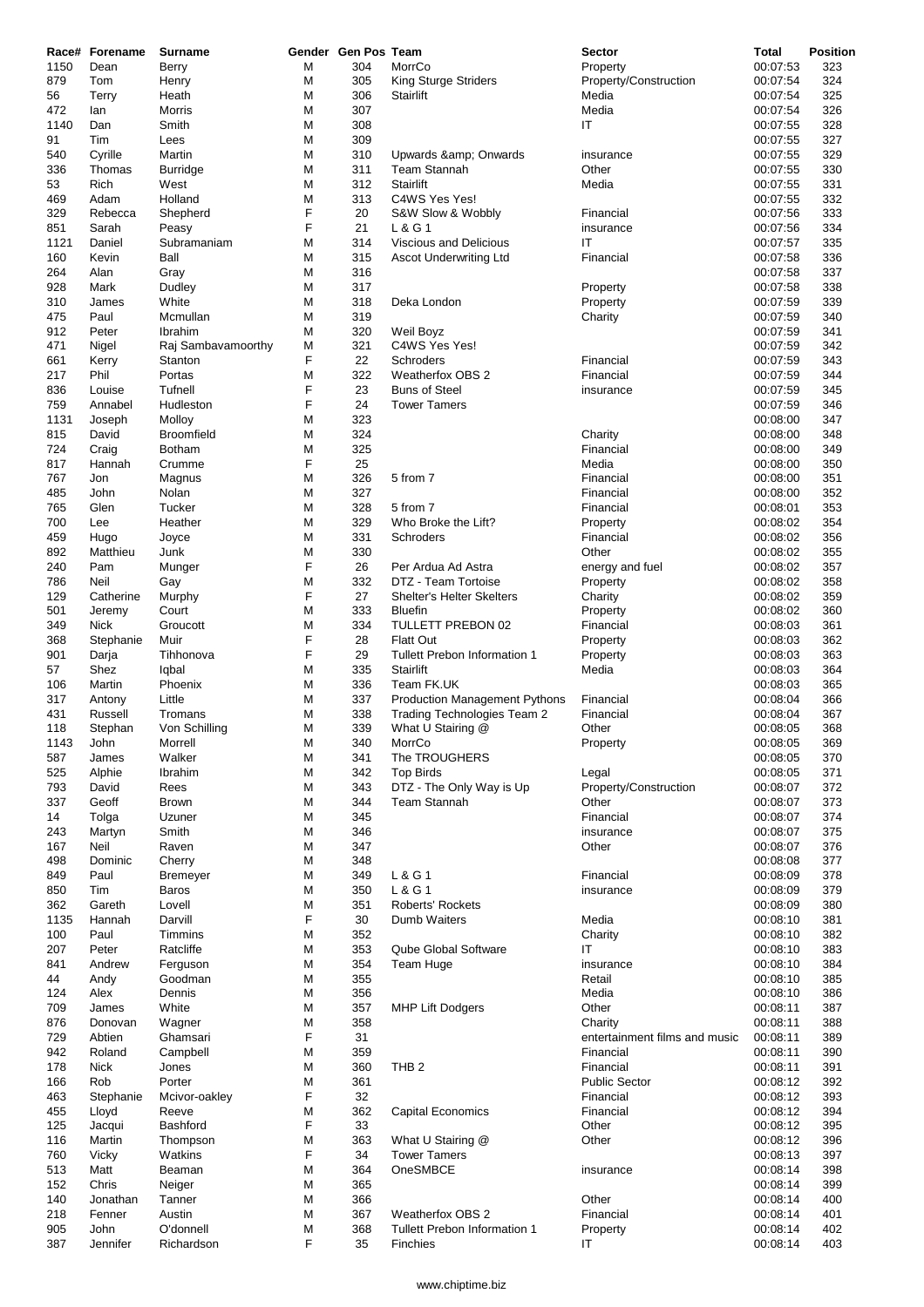|           | Race# Forename | <b>Surname</b>     |        | Gender Gen Pos Team |                                      | <b>Sector</b>                 | Total                | Position   |
|-----------|----------------|--------------------|--------|---------------------|--------------------------------------|-------------------------------|----------------------|------------|
| 1150      | Dean           | Berry              | М      | 304                 | MorrCo                               | Property                      | 00:07:53             | 323        |
| 879       | Tom            | Henry              | M<br>М | 305<br>306          | King Sturge Striders                 | Property/Construction         | 00:07:54             | 324<br>325 |
| 56<br>472 | Terry<br>lan   | Heath<br>Morris    | М      | 307                 | Stairlift                            | Media<br>Media                | 00:07:54<br>00:07:54 | 326        |
| 1140      | Dan            | Smith              | М      | 308                 |                                      | IT                            | 00:07:55             | 328        |
| 91        | Tim            | Lees               | M      | 309                 |                                      |                               | 00:07:55             | 327        |
| 540       | Cyrille        | Martin             | М      | 310                 | Upwards & Onwards                    | insurance                     | 00:07:55             | 329        |
| 336       | Thomas         | <b>Burridge</b>    | M      | 311                 | Team Stannah                         | Other                         | 00:07:55             | 330        |
| 53        | Rich           | West               | M      | 312                 | Stairlift                            | Media                         | 00:07:55             | 331        |
| 469       | Adam           | Holland            | М      | 313                 | C4WS Yes Yes!                        |                               | 00:07:55             | 332        |
| 329       | Rebecca        | Shepherd           | F      | 20                  | S&W Slow & Wobbly                    | Financial                     | 00:07:56             | 333        |
| 851       | Sarah          | Peasy              | F      | 21                  | L & G 1                              | insurance                     | 00:07:56             | 334        |
| 1121      | Daniel         | Subramaniam        | M      | 314                 | Viscious and Delicious               | ΙT                            | 00:07:57             | 335        |
| 160       | Kevin          | Ball               | М      | 315                 | Ascot Underwriting Ltd               | Financial                     | 00:07:58             | 336        |
| 264       | Alan           | Gray               | M      | 316                 |                                      |                               | 00:07:58             | 337        |
| 928       | Mark           | Dudley             | М      | 317                 |                                      | Property                      | 00:07:58             | 338        |
| 310       | James          | White              | М      | 318                 | Deka London                          | Property                      | 00:07:59             | 339        |
| 475       | Paul           | Mcmullan           | М      | 319                 |                                      | Charity                       | 00:07:59             | 340        |
| 912       | Peter          | Ibrahim            | M      | 320                 | Weil Boyz                            |                               | 00:07:59             | 341        |
| 471       | Nigel          | Raj Sambavamoorthy | M      | 321                 | C4WS Yes Yes!                        |                               | 00:07:59             | 342        |
| 661       | Kerry          | Stanton            | F      | 22                  | Schroders                            | Financial                     | 00:07:59             | 343        |
| 217       | Phil           | Portas             | М      | 322                 | <b>Weatherfox OBS 2</b>              | Financial                     | 00:07:59             | 344        |
| 836       | Louise         | Tufnell            | F      | 23                  | <b>Buns of Steel</b>                 | insurance                     | 00:07:59             | 345        |
| 759       | Annabel        | Hudleston          | F      | 24                  | <b>Tower Tamers</b>                  |                               | 00:07:59             | 346        |
| 1131      | Joseph         | Molloy             | M      | 323                 |                                      |                               | 00:08:00             | 347        |
| 815       | David          | <b>Broomfield</b>  | М      | 324                 |                                      | Charity                       | 00:08:00             | 348        |
| 724       | Craig          | <b>Botham</b>      | M      | 325                 |                                      | Financial                     | 00:08:00             | 349        |
| 817       | Hannah         | Crumme             | F      | 25                  |                                      | Media                         | 00:08:00             | 350        |
| 767       | Jon            | Magnus             | M      | 326                 | 5 from 7                             | Financial                     | 00:08:00             | 351        |
| 485       | John           | Nolan              | M      | 327                 |                                      | Financial                     | 00:08:00             | 352        |
| 765       | Glen           | Tucker             | M      | 328                 | 5 from 7                             | Financial                     | 00:08:01             | 353        |
| 700       | Lee            | Heather            | M      | 329                 | Who Broke the Lift?                  | Property                      | 00:08:02             | 354        |
| 459       | Hugo           | Joyce              | M      | 331                 | Schroders                            | Financial                     | 00:08:02             | 356        |
| 892       | Matthieu       | Junk               | M      | 330                 |                                      | Other                         | 00:08:02             | 355        |
| 240       | Pam            | Munger             | F      | 26                  | Per Ardua Ad Astra                   | energy and fuel               | 00:08:02             | 357        |
| 786       | Neil           | Gay                | M      | 332                 | DTZ - Team Tortoise                  | Property                      | 00:08:02             | 358        |
| 129       | Catherine      | Murphy             | F      | 27                  | Shelter's Helter Skelters            | Charity                       | 00:08:02             | 359        |
| 501       | Jeremy         | Court              | М      | 333                 | <b>Bluefin</b>                       | Property                      | 00:08:02             | 360        |
| 349       | <b>Nick</b>    | Groucott           | M      | 334                 | TULLETT PREBON 02                    | Financial                     | 00:08:03             | 361        |
| 368       | Stephanie      | Muir               | F      | 28                  | <b>Flatt Out</b>                     | Property                      | 00:08:03             | 362        |
| 901       | Darja          | Tihhonova          | F      | 29                  | Tullett Prebon Information 1         | Property                      | 00:08:03             | 363        |
| 57        | Shez           | Iqbal              | М      | 335                 | Stairlift                            | Media                         | 00:08:03             | 364        |
| 106       | Martin         | Phoenix            | M      | 336                 | Team FK.UK                           |                               | 00:08:03             | 365        |
| 317       | Antony         | Little             | М      | 337                 | <b>Production Management Pythons</b> | Financial                     | 00:08:04             | 366        |
| 431       | Russell        | Tromans            | М      | 338                 | Trading Technologies Team 2          | Financial                     | 00:08:04             | 367        |
| 118       | Stephan        | Von Schilling      | М      | 339                 | What U Stairing @                    | Other                         | 00:08:05             | 368        |
| 1143      | John           | Morrell            | M      | 340                 | MorrCo                               | Property                      | 00:08:05             | 369        |
| 587       | James          | Walker             | M      | 341                 | The TROUGHERS                        |                               | 00:08:05             | 370        |
| 525       | Alphie         | Ibrahim            | M      | 342                 | <b>Top Birds</b>                     | Legal                         | 00:08:05             | 371        |
| 793       | David          | Rees               | M      | 343                 | DTZ - The Only Way is Up             | Property/Construction         | 00:08:07             | 372        |
| 337       | Geoff          | <b>Brown</b>       | М      | 344                 | <b>Team Stannah</b>                  | Other                         | 00:08:07             | 373        |
| 14        | Tolga          | Uzuner             | M      | 345                 |                                      | Financial                     | 00:08:07             | 374        |
| 243       | Martyn         | Smith              | M      | 346                 |                                      | insurance                     | 00:08:07             | 375        |
| 167       | Neil           | Raven              | М      | 347                 |                                      | Other                         | 00:08:07             | 376        |
| 498       | Dominic        | Cherry             | M      | 348                 |                                      |                               | 00:08:08             | 377        |
| 849       | Paul           | <b>Bremeyer</b>    | M      | 349                 | L & G 1                              | Financial                     | 00:08:09             | 378        |
| 850       | Tim            | <b>Baros</b>       | M      | 350                 | L & G1                               | insurance                     | 00:08:09             | 379        |
| 362       | Gareth         | Lovell             | M      | 351                 | Roberts' Rockets                     |                               | 00:08:09             | 380        |
| 1135      | Hannah         | Darvill            | F      | 30                  | Dumb Waiters                         | Media                         | 00:08:10             | 381        |
| 100       | Paul           | Timmins            | M      | 352                 |                                      | Charity                       | 00:08:10             | 382        |
| 207       | Peter          | Ratcliffe          | M      | 353                 | Qube Global Software                 | IT                            | 00:08:10             | 383        |
| 841       | Andrew         | Ferguson           | M      | 354                 | Team Huge                            | insurance                     | 00:08:10             | 384        |
| 44        | Andy           | Goodman            | M      | 355                 |                                      | Retail                        | 00:08:10             | 385        |
| 124       | Alex           | Dennis             | М      | 356                 |                                      | Media                         | 00:08:10             | 386        |
| 709       | James          | White              | M      | 357                 | <b>MHP Lift Dodgers</b>              | Other                         | 00:08:11             | 387        |
| 876       | Donovan        | Wagner             | М      | 358                 |                                      | Charity                       | 00:08:11             | 388        |
| 729       | Abtien         | Ghamsari           | F      | 31                  |                                      | entertainment films and music | 00:08:11             | 389        |
| 942       | Roland         | Campbell           | M      | 359                 |                                      | Financial                     | 00:08:11             | 390        |
| 178       | <b>Nick</b>    | Jones              | M      | 360                 | THB <sub>2</sub>                     | Financial                     | 00:08:11             | 391        |
| 166       | Rob            | Porter             | М      | 361                 |                                      | <b>Public Sector</b>          | 00:08:12             | 392        |
| 463       | Stephanie      | Mcivor-oakley      | F      | 32                  |                                      | Financial                     | 00:08:12             | 393        |
| 455       | Lloyd          | Reeve              | М      | 362                 | <b>Capital Economics</b>             | Financial                     | 00:08:12             | 394        |
| 125       | Jacqui         | Bashford           | F      | 33                  |                                      | Other                         | 00:08:12             | 395        |
| 116       | Martin         | Thompson           | M      | 363                 | What U Stairing @                    | Other                         | 00:08:12             | 396        |
| 760       | Vicky          | Watkins            | F      | 34                  | <b>Tower Tamers</b>                  |                               | 00:08:13             | 397        |
| 513       | Matt           | Beaman             | M      | 364                 | OneSMBCE                             | insurance                     | 00:08:14             | 398        |
| 152       | Chris          | Neiger             | M      | 365                 |                                      |                               | 00:08:14             | 399        |
| 140       | Jonathan       | Tanner             | M      | 366                 |                                      | Other                         | 00:08:14             | 400        |
| 218       | Fenner         | Austin             | М      | 367                 | <b>Weatherfox OBS 2</b>              | Financial                     | 00:08:14             | 401        |
| 905       | John           | O'donnell          | M      | 368                 | Tullett Prebon Information 1         | Property                      | 00:08:14             | 402        |
| 387       | Jennifer       | Richardson         | F      | 35                  | Finchies                             | IT                            | 00:08:14             | 403        |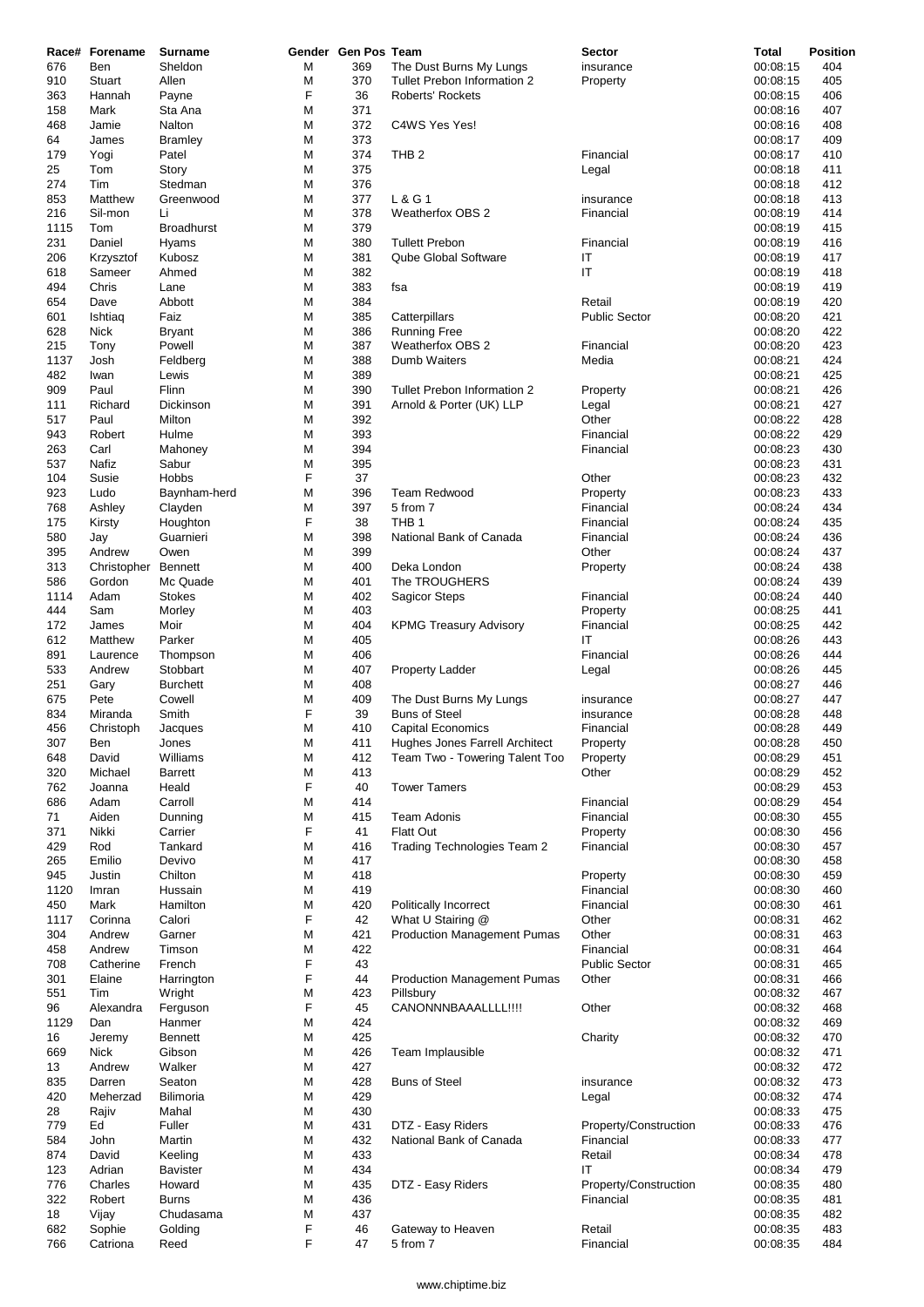| 676<br>910<br>363<br>158<br>468<br>64<br>179 | Ben<br>Stuart<br>Hannah<br>Mark<br>Jamie<br>James<br>Yogi | Sheldon<br>Allen<br>Payne<br>Sta Ana<br>Nalton | М<br>М<br>F<br>М | 369<br>370<br>36 | The Dust Burns My Lungs<br>Tullet Prebon Information 2<br><b>Roberts' Rockets</b> | insurance<br>Property | 00:08:15<br>00:08:15<br>00:08:15 | 404<br>405 |
|----------------------------------------------|-----------------------------------------------------------|------------------------------------------------|------------------|------------------|-----------------------------------------------------------------------------------|-----------------------|----------------------------------|------------|
|                                              |                                                           |                                                |                  |                  |                                                                                   |                       |                                  |            |
|                                              |                                                           |                                                |                  |                  |                                                                                   |                       |                                  |            |
|                                              |                                                           |                                                |                  | 371              |                                                                                   |                       | 00:08:16                         | 406<br>407 |
|                                              |                                                           |                                                | М                | 372              | C4WS Yes Yes!                                                                     |                       | 00:08:16                         | 408        |
|                                              |                                                           | <b>Bramley</b>                                 | M                | 373              |                                                                                   |                       | 00:08:17                         | 409        |
|                                              |                                                           | Patel                                          | М                | 374              | THB <sub>2</sub>                                                                  | Financial             | 00:08:17                         | 410        |
| 25                                           | Tom                                                       | Story                                          | M                | 375              |                                                                                   | Legal                 | 00:08:18                         | 411        |
| 274                                          | Tim                                                       | Stedman                                        | M                | 376              |                                                                                   |                       | 00:08:18                         | 412        |
| 853                                          | Matthew                                                   | Greenwood                                      | М                | 377              | L & G 1                                                                           | insurance             | 00:08:18                         | 413        |
| 216                                          | Sil-mon                                                   | Li                                             | М                | 378              | <b>Weatherfox OBS 2</b>                                                           | Financial             | 00:08:19                         | 414        |
| 1115                                         | Tom                                                       | <b>Broadhurst</b>                              | M                | 379              |                                                                                   |                       | 00:08:19                         | 415        |
| 231                                          | Daniel                                                    | Hyams                                          | М                | 380              | <b>Tullett Prebon</b>                                                             | Financial             | 00:08:19                         | 416        |
| 206                                          | Krzysztof                                                 | Kubosz                                         | М                | 381              | Qube Global Software                                                              | IT                    | 00:08:19                         | 417        |
| 618                                          | Sameer                                                    | Ahmed                                          | M                | 382              |                                                                                   | IT                    | 00:08:19                         | 418        |
| 494                                          | Chris                                                     | Lane                                           | М                | 383              | fsa                                                                               |                       | 00:08:19                         | 419        |
| 654                                          | Dave                                                      | Abbott                                         | М                | 384              |                                                                                   | Retail                | 00:08:19                         | 420        |
| 601                                          | Ishtiag                                                   | Faiz                                           | М                | 385              | Catterpillars                                                                     | <b>Public Sector</b>  | 00:08:20                         | 421        |
| 628                                          | <b>Nick</b>                                               | <b>Bryant</b>                                  | M                | 386              | <b>Running Free</b>                                                               |                       | 00:08:20                         | 422        |
| 215                                          | Tony                                                      | Powell                                         | М                | 387              | <b>Weatherfox OBS 2</b>                                                           | Financial             | 00:08:20                         | 423        |
| 1137                                         | Josh                                                      | Feldberg                                       | M                | 388              | Dumb Waiters                                                                      | Media                 | 00:08:21                         | 424        |
| 482                                          | Iwan                                                      | Lewis                                          | М                | 389              |                                                                                   |                       | 00:08:21                         | 425        |
| 909                                          | Paul                                                      | Flinn                                          | М                | 390              | Tullet Prebon Information 2                                                       | Property              | 00:08:21                         | 426        |
| 111                                          | Richard                                                   | Dickinson                                      | M                | 391              | Arnold & Porter (UK) LLP                                                          | Legal                 | 00:08:21                         | 427        |
| 517                                          | Paul                                                      | Milton                                         | М                | 392              |                                                                                   | Other                 | 00:08:22                         | 428        |
| 943                                          | Robert                                                    | Hulme                                          | М                | 393              |                                                                                   | Financial             | 00:08:22                         | 429        |
| 263                                          | Carl                                                      | Mahoney                                        | M                | 394              |                                                                                   | Financial             | 00:08:23                         | 430        |
| 537                                          | Nafiz                                                     | Sabur                                          | М                | 395              |                                                                                   |                       | 00:08:23                         | 431        |
| 104                                          | Susie                                                     | Hobbs                                          | F                | 37               |                                                                                   | Other                 | 00:08:23                         | 432        |
| 923                                          | Ludo                                                      | Baynham-herd                                   | М                | 396              | <b>Team Redwood</b>                                                               | Property              | 00:08:23                         | 433        |
| 768                                          | Ashley                                                    | Clayden                                        | М                | 397              | 5 from 7                                                                          | Financial             | 00:08:24                         | 434        |
| 175                                          | Kirsty                                                    | Houghton                                       | F                | 38               | THB <sub>1</sub>                                                                  | Financial             | 00:08:24                         | 435        |
| 580                                          | Jay                                                       | Guarnieri                                      | М                | 398              | National Bank of Canada                                                           | Financial             | 00:08:24                         | 436        |
| 395                                          | Andrew                                                    | Owen                                           | М                | 399              |                                                                                   | Other                 | 00:08:24                         | 437        |
| 313                                          | Christopher                                               | <b>Bennett</b>                                 | М                | 400              | Deka London                                                                       | Property              | 00:08:24                         | 438        |
| 586                                          | Gordon                                                    | Mc Quade                                       | М                | 401              | The TROUGHERS                                                                     |                       | 00:08:24                         | 439        |
| 1114                                         | Adam                                                      | <b>Stokes</b>                                  | M                | 402              | <b>Sagicor Steps</b>                                                              | Financial             | 00:08:24                         | 440        |
| 444                                          | Sam                                                       | Morley                                         | М                | 403              |                                                                                   | Property              | 00:08:25                         | 441        |
| 172                                          | James                                                     | Moir                                           | М                | 404              | <b>KPMG Treasury Advisory</b>                                                     | Financial             | 00:08:25                         | 442        |
| 612                                          | Matthew                                                   | Parker                                         | M                | 405              |                                                                                   | IT                    | 00:08:26                         | 443        |
| 891                                          | Laurence                                                  | Thompson                                       | M                | 406              |                                                                                   | Financial             | 00:08:26                         | 444        |
| 533                                          | Andrew                                                    | Stobbart                                       | М                | 407              | Property Ladder                                                                   | Legal                 | 00:08:26                         | 445        |
| 251                                          | Gary                                                      | <b>Burchett</b>                                | M                | 408              |                                                                                   |                       | 00:08:27                         | 446        |
| 675                                          | Pete                                                      | Cowell                                         | М                | 409              | The Dust Burns My Lungs                                                           | insurance             | 00:08:27                         | 447        |
| 834                                          | Miranda                                                   | Smith                                          | F                | 39               | <b>Buns of Steel</b>                                                              | insurance             | 00:08:28                         | 448        |
| 456                                          | Christoph                                                 | Jacques                                        | М                | 410              | <b>Capital Economics</b>                                                          | Financial             | 00:08:28                         | 449        |
| 307                                          | Ben                                                       | Jones                                          | M                | 411              | Hughes Jones Farrell Architect                                                    | Property              | 00:08:28                         | 450        |
| 648                                          | David                                                     | Williams                                       | M                | 412              | Team Two - Towering Talent Too                                                    | Property              | 00:08:29                         | 451        |
| 320                                          | Michael                                                   | <b>Barrett</b>                                 | М                | 413              |                                                                                   | Other                 | 00:08:29                         | 452        |
| 762                                          | Joanna                                                    | Heald                                          | F                | 40               | <b>Tower Tamers</b>                                                               |                       | 00:08:29                         | 453        |
| 686                                          | Adam                                                      | Carroll                                        | М                | 414              |                                                                                   | Financial             | 00:08:29                         | 454        |
| 71                                           | Aiden                                                     | Dunning                                        | M                | 415              | <b>Team Adonis</b>                                                                | Financial             | 00:08:30                         | 455        |
| 371                                          | Nikki                                                     | Carrier                                        | F                | 41               | <b>Flatt Out</b>                                                                  | Property              | 00:08:30                         | 456        |
| 429                                          | Rod                                                       | Tankard                                        | М                | 416              | Trading Technologies Team 2                                                       | Financial             | 00:08:30                         | 457        |
| 265                                          | Emilio                                                    | Devivo                                         | M                | 417              |                                                                                   |                       | 00:08:30                         | 458        |
| 945                                          | Justin                                                    | Chilton                                        | M                | 418              |                                                                                   | Property              | 00:08:30                         | 459        |
| 1120                                         | Imran                                                     | Hussain                                        | M                | 419              |                                                                                   | Financial             | 00:08:30                         | 460        |
| 450                                          | Mark                                                      | Hamilton                                       | M                | 420              | Politically Incorrect                                                             | Financial             | 00:08:30                         | 461        |
| 1117                                         | Corinna                                                   | Calori                                         | F                | 42               | What U Stairing @                                                                 | Other                 | 00:08:31                         | 462        |
| 304                                          | Andrew                                                    | Garner                                         | M                | 421              | <b>Production Management Pumas</b>                                                | Other                 | 00:08:31                         | 463        |
| 458                                          | Andrew                                                    | Timson                                         | M                | 422              |                                                                                   | Financial             | 00:08:31                         | 464        |
| 708                                          | Catherine                                                 | French                                         | F                | 43               |                                                                                   | <b>Public Sector</b>  | 00:08:31                         | 465        |
| 301                                          | Elaine                                                    | Harrington                                     | F                | 44               | <b>Production Management Pumas</b>                                                | Other                 | 00:08:31                         | 466        |
| 551                                          | Tim                                                       | Wright                                         | M                | 423              | Pillsbury                                                                         |                       | 00:08:32                         | 467        |
| 96                                           | Alexandra                                                 | Ferguson                                       | F                | 45               | CANONNNBAAALLLL!!!!                                                               | Other                 | 00:08:32                         | 468        |
| 1129                                         | Dan                                                       | Hanmer                                         | М                | 424              |                                                                                   |                       | 00:08:32                         | 469        |
| 16                                           | Jeremy                                                    | <b>Bennett</b>                                 | M                | 425              |                                                                                   | Charity               | 00:08:32                         | 470        |
| 669                                          | <b>Nick</b>                                               | Gibson                                         | M                | 426              | Team Implausible                                                                  |                       | 00:08:32                         | 471        |
| 13                                           | Andrew                                                    | Walker                                         | M                | 427              |                                                                                   |                       | 00:08:32                         | 472        |
| 835                                          | Darren                                                    | Seaton                                         | M                | 428              | <b>Buns of Steel</b>                                                              | insurance             | 00:08:32                         | 473        |
| 420                                          | Meherzad                                                  | Bilimoria                                      | M                | 429              |                                                                                   | Legal                 | 00:08:32                         | 474        |
| 28                                           | Rajiv                                                     | Mahal                                          | M                | 430              |                                                                                   |                       | 00:08:33                         | 475        |
| 779                                          | Ed                                                        | Fuller                                         | М                | 431              | DTZ - Easy Riders                                                                 | Property/Construction | 00:08:33                         | 476        |
| 584                                          | John                                                      | Martin                                         | M                | 432              | National Bank of Canada                                                           | Financial             | 00:08:33                         | 477        |
| 874                                          | David                                                     | Keeling                                        | M                | 433              |                                                                                   | Retail                | 00:08:34                         | 478        |
| 123                                          | Adrian                                                    | <b>Bavister</b>                                | M                | 434              |                                                                                   | ΙT                    | 00:08:34                         | 479        |
| 776                                          | Charles                                                   | Howard                                         | M                | 435              | DTZ - Easy Riders                                                                 | Property/Construction | 00:08:35                         | 480        |
| 322                                          | Robert                                                    | <b>Burns</b>                                   | M                | 436              |                                                                                   | Financial             | 00:08:35                         | 481        |
| 18                                           | Vijay                                                     | Chudasama                                      | М                | 437              |                                                                                   |                       | 00:08:35                         | 482        |
| 682                                          | Sophie                                                    | Golding                                        | F                | 46               | Gateway to Heaven                                                                 | Retail                | 00:08:35                         | 483        |
| 766                                          | Catriona                                                  | Reed                                           | F                | 47               | 5 from 7                                                                          | Financial             | 00:08:35                         | 484        |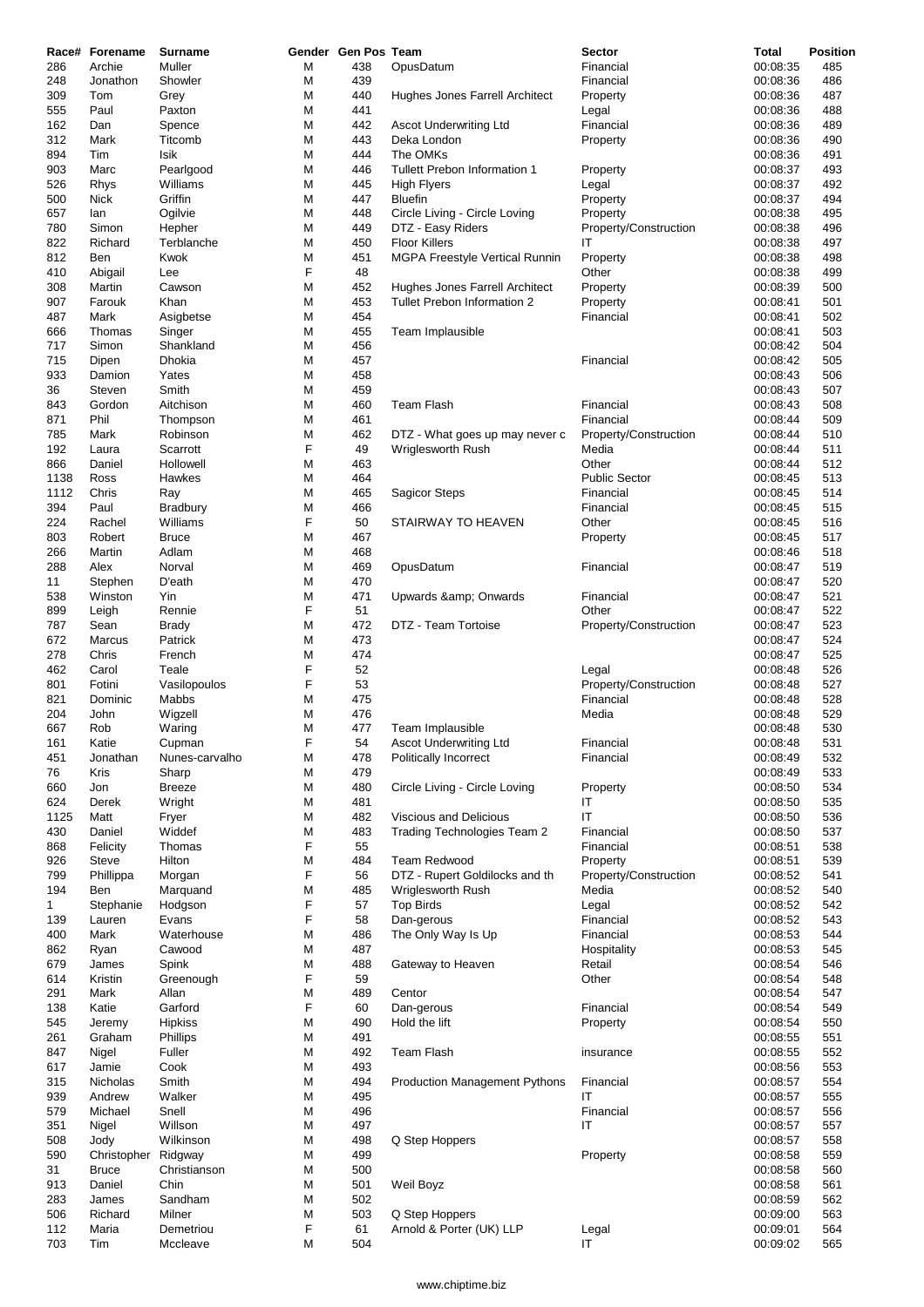| 286          | Race# Forename<br>Archie    | Surname<br>Muller       | М      | Gender Gen Pos Team<br>438 | OpusDatum                                                     | <b>Sector</b><br>Financial        | Total<br>00:08:35    | <b>Position</b><br>485 |
|--------------|-----------------------------|-------------------------|--------|----------------------------|---------------------------------------------------------------|-----------------------------------|----------------------|------------------------|
| 248          | Jonathon                    | Showler                 | М      | 439                        |                                                               | Financial                         | 00:08:36             | 486                    |
| 309          | Tom                         | Grey                    | М      | 440                        | Hughes Jones Farrell Architect                                | Property                          | 00:08:36             | 487                    |
| 555          | Paul                        | Paxton                  | М      | 441                        |                                                               | Legal                             | 00:08:36             | 488                    |
| 162          | Dan                         | Spence                  | М      | 442                        | Ascot Underwriting Ltd                                        | Financial                         | 00:08:36             | 489                    |
| 312          | Mark                        | Titcomb                 | M      | 443                        | Deka London                                                   | Property                          | 00:08:36             | 490                    |
| 894          | Tim                         | Isik                    | М      | 444                        | The OMKs                                                      |                                   | 00:08:36             | 491                    |
| 903          | Marc                        | Pearlgood               | М      | 446                        | Tullett Prebon Information 1                                  | Property                          | 00:08:37             | 493                    |
| 526          | Rhys                        | Williams                | М      | 445                        | High Flyers                                                   | Legal                             | 00:08:37             | 492                    |
| 500          | Nick                        | Griffin                 | М      | 447                        | <b>Bluefin</b>                                                | Property                          | 00:08:37             | 494                    |
| 657          | lan                         | Ogilvie                 | М      | 448                        | Circle Living - Circle Loving                                 | Property                          | 00:08:38             | 495                    |
| 780          | Simon                       | Hepher                  | М      | 449                        | DTZ - Easy Riders                                             | Property/Construction             | 00:08:38             | 496                    |
| 822          | Richard                     | Terblanche              | M      | 450                        | <b>Floor Killers</b>                                          | IT                                | 00:08:38             | 497                    |
| 812          | Ben                         | Kwok                    | М      | 451                        | MGPA Freestyle Vertical Runnin                                | Property                          | 00:08:38             | 498                    |
| 410          | Abigail                     | Lee                     | F      | 48                         |                                                               | Other                             | 00:08:38             | 499                    |
| 308<br>907   | Martin<br>Farouk            | Cawson<br>Khan          | М<br>М | 452<br>453                 | Hughes Jones Farrell Architect<br>Tullet Prebon Information 2 | Property                          | 00:08:39<br>00:08:41 | 500<br>501             |
| 487          | Mark                        | Asigbetse               | М      | 454                        |                                                               | Property<br>Financial             | 00:08:41             | 502                    |
| 666          | Thomas                      | Singer                  | M      | 455                        | Team Implausible                                              |                                   | 00:08:41             | 503                    |
| 717          | Simon                       | Shankland               | М      | 456                        |                                                               |                                   | 00:08:42             | 504                    |
| 715          | Dipen                       | Dhokia                  | М      | 457                        |                                                               | Financial                         | 00:08:42             | 505                    |
| 933          | Damion                      | Yates                   | М      | 458                        |                                                               |                                   | 00:08:43             | 506                    |
| 36           | Steven                      | Smith                   | М      | 459                        |                                                               |                                   | 00:08:43             | 507                    |
| 843          | Gordon                      | Aitchison               | M      | 460                        | <b>Team Flash</b>                                             | Financial                         | 00:08:43             | 508                    |
| 871          | Phil                        | Thompson                | M      | 461                        |                                                               | Financial                         | 00:08:44             | 509                    |
| 785          | Mark                        | Robinson                | М      | 462                        | DTZ - What goes up may never c                                | Property/Construction             | 00:08:44             | 510                    |
| 192          | Laura                       | Scarrott                | F      | 49                         | Wriglesworth Rush                                             | Media                             | 00:08:44             | 511                    |
| 866          | Daniel                      | Hollowell               | М      | 463                        |                                                               | Other                             | 00:08:44             | 512                    |
| 1138         | Ross                        | Hawkes                  | М      | 464                        |                                                               | <b>Public Sector</b>              | 00:08:45             | 513                    |
| 1112         | Chris                       | Ray                     | М      | 465                        | <b>Sagicor Steps</b>                                          | Financial                         | 00:08:45             | 514                    |
| 394          | Paul                        | Bradbury                | M      | 466                        |                                                               | Financial                         | 00:08:45             | 515                    |
| 224          | Rachel                      | Williams                | F      | 50                         | STAIRWAY TO HEAVEN                                            | Other                             | 00:08:45             | 516                    |
| 803          | Robert                      | <b>Bruce</b>            | М      | 467                        |                                                               | Property                          | 00:08:45             | 517                    |
| 266          | Martin                      | Adlam                   | М      | 468                        |                                                               |                                   | 00:08:46             | 518                    |
| 288          | Alex                        | Norval<br>D'eath        | М<br>М | 469<br>470                 | OpusDatum                                                     | Financial                         | 00:08:47<br>00:08:47 | 519<br>520             |
| 11<br>538    | Stephen<br>Winston          | Yin                     | M      | 471                        | Upwards & Onwards                                             | Financial                         | 00:08:47             | 521                    |
| 899          | Leigh                       | Rennie                  | F      | 51                         |                                                               | Other                             | 00:08:47             | 522                    |
| 787          | Sean                        | <b>Brady</b>            | М      | 472                        | DTZ - Team Tortoise                                           | Property/Construction             | 00:08:47             | 523                    |
| 672          | Marcus                      | Patrick                 | М      | 473                        |                                                               |                                   | 00:08:47             | 524                    |
| 278          | Chris                       | French                  | М      | 474                        |                                                               |                                   | 00:08:47             | 525                    |
| 462          | Carol                       | Teale                   | F      | 52                         |                                                               | Legal                             | 00:08:48             | 526                    |
| 801          | Fotini                      | Vasilopoulos            | F      | 53                         |                                                               | Property/Construction             | 00:08:48             | 527                    |
| 821          | Dominic                     | Mabbs                   | М      | 475                        |                                                               | Financial                         | 00:08:48             | 528                    |
| 204          | John                        | Wigzell                 | М      | 476                        |                                                               | Media                             | 00:08:48             | 529                    |
| 667          | Rob                         | Waring                  | М      | 477                        | Team Implausible                                              |                                   | 00:08:48             | 530                    |
| 161          | Katie                       | Cupman                  | F      | 54                         | <b>Ascot Underwriting Ltd</b>                                 | Financial                         | 00:08:48             | 531                    |
| 451          | Jonathan                    | Nunes-carvalho          | М      | 478                        | Politically Incorrect                                         | Financial                         | 00:08:49             | 532                    |
| 76           | Kris                        | Sharp                   | М      | 479                        |                                                               |                                   | 00:08:49             | 533                    |
| 660          | Jon                         | <b>Breeze</b>           | M      | 480                        | Circle Living - Circle Loving                                 | Property                          | 00:08:50             | 534                    |
| 624          | Derek                       | Wright                  | М      | 481                        |                                                               | IT                                | 00:08:50             | 535                    |
| 1125         | Matt                        | Fryer                   | М      | 482                        | Viscious and Delicious                                        | IT                                | 00:08:50             | 536                    |
| 430          | Daniel                      | Widdef                  | М      | 483                        | Trading Technologies Team 2                                   | Financial                         | 00:08:50             | 537                    |
| 868          | Felicity                    | Thomas                  | F      | 55<br>484                  |                                                               | Financial                         | 00:08:51             | 538                    |
| 926<br>799   | Steve<br>Phillippa          | Hilton<br>Morgan        | М<br>F | 56                         | <b>Team Redwood</b><br>DTZ - Rupert Goldilocks and th         | Property<br>Property/Construction | 00:08:51<br>00:08:52 | 539<br>541             |
| 194          | Ben                         | Marquand                | М      | 485                        | <b>Wriglesworth Rush</b>                                      | Media                             | 00:08:52             | 540                    |
| $\mathbf{1}$ | Stephanie                   | Hodgson                 | F      | 57                         | <b>Top Birds</b>                                              | Legal                             | 00:08:52             | 542                    |
| 139          | Lauren                      | Evans                   | F      | 58                         | Dan-gerous                                                    | Financial                         | 00:08:52             | 543                    |
| 400          | Mark                        | Waterhouse              | М      | 486                        | The Only Way Is Up                                            | Financial                         | 00:08:53             | 544                    |
| 862          | Ryan                        | Cawood                  | М      | 487                        |                                                               | Hospitality                       | 00:08:53             | 545                    |
| 679          | James                       | Spink                   | M      | 488                        | Gateway to Heaven                                             | Retail                            | 00:08:54             | 546                    |
| 614          | Kristin                     | Greenough               | F      | 59                         |                                                               | Other                             | 00:08:54             | 548                    |
| 291          | Mark                        | Allan                   | М      | 489                        | Centor                                                        |                                   | 00:08:54             | 547                    |
| 138          | Katie                       | Garford                 | F      | 60                         | Dan-gerous                                                    | Financial                         | 00:08:54             | 549                    |
| 545          | Jeremy                      | <b>Hipkiss</b>          | М      | 490                        | Hold the lift                                                 | Property                          | 00:08:54             | 550                    |
| 261          | Graham                      | Phillips                | М      | 491                        |                                                               |                                   | 00:08:55             | 551                    |
| 847          | Nigel                       | Fuller                  | M      | 492                        | Team Flash                                                    | insurance                         | 00:08:55             | 552                    |
| 617          | Jamie                       | Cook                    | М      | 493                        |                                                               |                                   | 00:08:56             | 553                    |
| 315          | Nicholas                    | Smith                   | М      | 494                        | <b>Production Management Pythons</b>                          | Financial                         | 00:08:57             | 554                    |
| 939          | Andrew                      | Walker                  | М      | 495                        |                                                               | IT                                | 00:08:57             | 555                    |
| 579          | Michael                     | Snell                   | М      | 496                        |                                                               | Financial                         | 00:08:57             | 556                    |
| 351          | Nigel                       | Willson                 | М      | 497                        |                                                               | IT                                | 00:08:57             | 557                    |
| 508          | Jody                        | Wilkinson               | М      | 498<br>499                 | Q Step Hoppers                                                |                                   | 00:08:57             | 558                    |
| 590<br>31    | Christopher<br><b>Bruce</b> | Ridgway<br>Christianson | M<br>М | 500                        |                                                               | Property                          | 00:08:58<br>00:08:58 | 559<br>560             |
| 913          | Daniel                      | Chin                    | М      | 501                        | Weil Boyz                                                     |                                   | 00:08:58             | 561                    |
| 283          | James                       | Sandham                 | М      | 502                        |                                                               |                                   | 00:08:59             | 562                    |
| 506          | Richard                     | Milner                  | M      | 503                        | Q Step Hoppers                                                |                                   | 00:09:00             | 563                    |
| 112          | Maria                       | Demetriou               | F      | 61                         | Arnold & Porter (UK) LLP                                      | Legal                             | 00:09:01             | 564                    |
| 703          | Tim                         | Mccleave                | М      | 504                        |                                                               | IT                                | 00:09:02             | 565                    |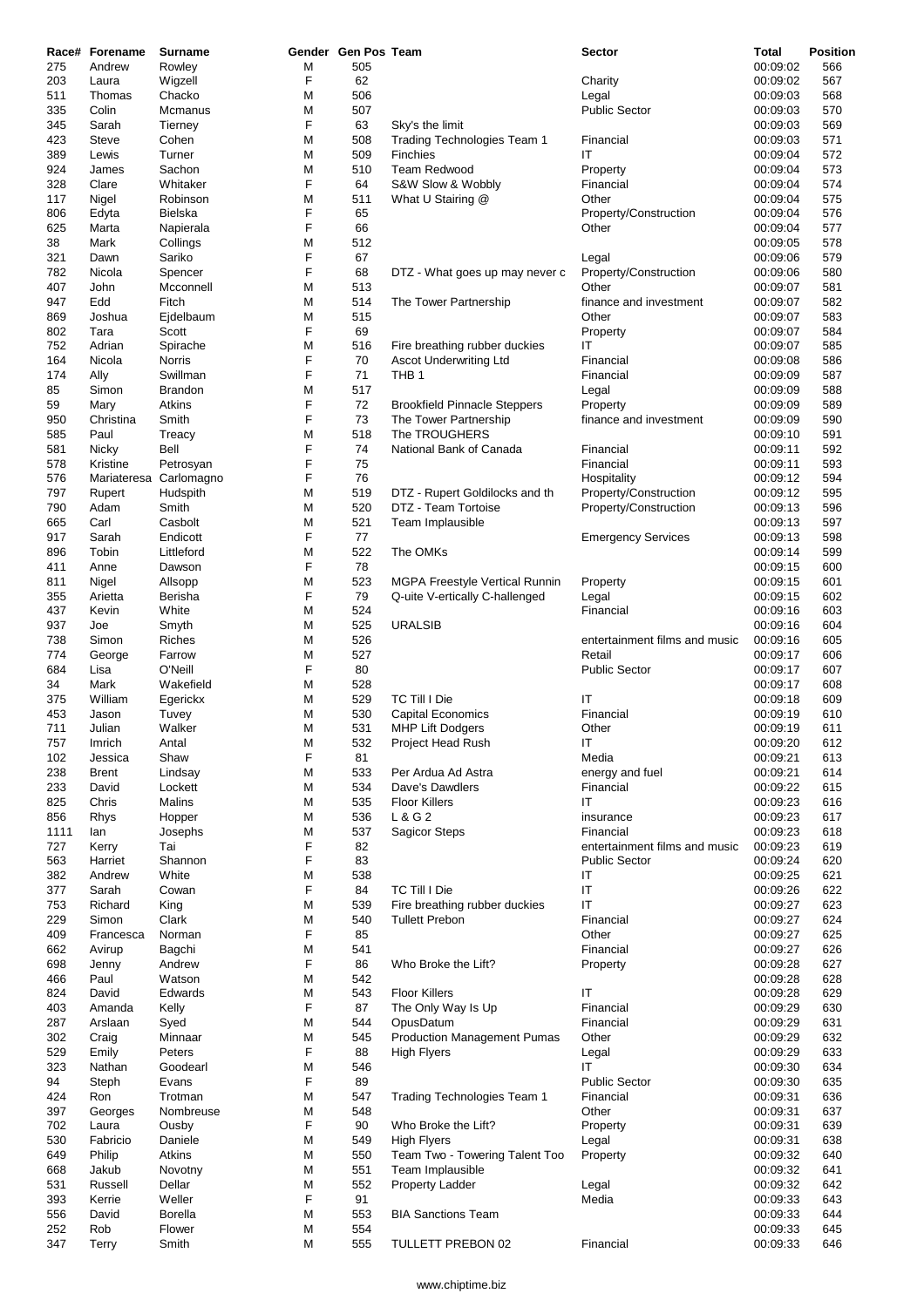|            | Race# Forename | <b>Surname</b>   |        | Gender Gen Pos Team |                                     | <b>Sector</b>                 | Total                | <b>Position</b> |
|------------|----------------|------------------|--------|---------------------|-------------------------------------|-------------------------------|----------------------|-----------------|
| 275        | Andrew         | Rowley           | М      | 505                 |                                     |                               | 00:09:02             | 566             |
| 203        | Laura          | Wigzell          | F      | 62                  |                                     | Charity                       | 00:09:02             | 567             |
| 511        | Thomas         | Chacko           | M      | 506                 |                                     | Legal                         | 00:09:03             | 568             |
| 335        | Colin          | Mcmanus          | M      | 507                 |                                     | <b>Public Sector</b>          | 00:09:03             | 570             |
| 345        | Sarah          | Tierney          | F      | 63                  | Sky's the limit                     |                               | 00:09:03             | 569             |
| 423        | <b>Steve</b>   | Cohen            | M      | 508                 | Trading Technologies Team 1         | Financial                     | 00:09:03             | 571             |
| 389        | Lewis          | Turner           | М      | 509                 | Finchies                            | ΙT                            | 00:09:04             | 572             |
| 924        | James          | Sachon           | M      | 510                 | <b>Team Redwood</b>                 | Property                      | 00:09:04             | 573             |
| 328        | Clare          | Whitaker         | F      | 64                  | S&W Slow & Wobbly                   | Financial                     | 00:09:04             | 574             |
| 117        | Nigel          | Robinson         | М      | 511                 | What U Stairing @                   | Other                         | 00:09:04             | 575             |
| 806        | Edyta          | Bielska          | F      | 65                  |                                     | Property/Construction         | 00:09:04             | 576             |
| 625        | Marta          | Napierala        | F      | 66                  |                                     | Other                         | 00:09:04             | 577             |
| 38         | Mark           | Collings         | М      | 512                 |                                     |                               | 00:09:05             | 578             |
| 321        | Dawn           | Sariko           | F      | 67                  |                                     | Legal                         | 00:09:06             | 579             |
| 782        | Nicola         | Spencer          | F      | 68                  | DTZ - What goes up may never c      | Property/Construction         | 00:09:06             | 580             |
| 407        | John           | Mcconnell        | M      | 513                 |                                     | Other                         | 00:09:07             | 581             |
| 947        | Edd            | Fitch            | M      | 514                 | The Tower Partnership               | finance and investment        | 00:09:07             | 582             |
| 869        | Joshua         | Ejdelbaum        | М      | 515                 |                                     | Other                         | 00:09:07             | 583             |
| 802        | Tara           | Scott            | F      | 69                  |                                     | Property                      | 00:09:07             | 584             |
| 752        | Adrian         | Spirache         | М      | 516                 | Fire breathing rubber duckies       | IT                            | 00:09:07             | 585             |
| 164        | Nicola         | Norris           | F      | 70                  | Ascot Underwriting Ltd              | Financial                     | 00:09:08             | 586             |
| 174        | Ally           | Swillman         | F      | 71                  | THB <sub>1</sub>                    | Financial                     | 00:09:09             | 587             |
| 85         | Simon          | <b>Brandon</b>   | M      | 517                 |                                     | Legal                         | 00:09:09             | 588             |
| 59         | Mary           | <b>Atkins</b>    | F<br>F | 72                  | <b>Brookfield Pinnacle Steppers</b> | Property                      | 00:09:09             | 589             |
| 950        | Christina      | Smith            |        | 73                  | The Tower Partnership               | finance and investment        | 00:09:09             | 590             |
| 585        | Paul           | Treacy           | М      | 518                 | The TROUGHERS                       |                               | 00:09:10             | 591             |
| 581        | Nicky          | Bell             | F      | 74                  | National Bank of Canada             | Financial                     | 00:09:11             | 592             |
| 578        | Kristine       | Petrosyan        | F      | 75                  |                                     | Financial                     | 00:09:11             | 593             |
| 576        | Mariateresa    | Carlomagno       | F      | 76                  |                                     | Hospitality                   | 00:09:12             | 594             |
| 797        | Rupert         | Hudspith         | М      | 519                 | DTZ - Rupert Goldilocks and th      | Property/Construction         | 00:09:12             | 595             |
| 790        | Adam           | Smith            | M      | 520                 | DTZ - Team Tortoise                 | Property/Construction         | 00:09:13             | 596             |
| 665        | Carl           | Casbolt          | М      | 521                 | Team Implausible                    |                               | 00:09:13             | 597             |
| 917        | Sarah          | Endicott         | F      | 77<br>522           | The OMKs                            | <b>Emergency Services</b>     | 00:09:13             | 598             |
| 896        | Tobin          | Littleford       | M<br>F | 78                  |                                     |                               | 00:09:14             | 599             |
| 411        | Anne           | Dawson           | М      | 523                 |                                     |                               | 00:09:15             | 600<br>601      |
| 811        | Nigel          | Allsopp          | F      | 79                  | MGPA Freestyle Vertical Runnin      | Property                      | 00:09:15             |                 |
| 355<br>437 | Arietta        | Berisha<br>White | М      | 524                 | Q-uite V-ertically C-hallenged      | Legal<br>Financial            | 00:09:15<br>00:09:16 | 602             |
| 937        | Kevin<br>Joe   | Smyth            | M      | 525                 | <b>URALSIB</b>                      |                               |                      | 603<br>604      |
| 738        | Simon          | <b>Riches</b>    | M      | 526                 |                                     | entertainment films and music | 00:09:16<br>00:09:16 | 605             |
| 774        | George         | Farrow           | M      | 527                 |                                     | Retail                        | 00:09:17             | 606             |
| 684        | Lisa           | O'Neill          | F      | 80                  |                                     | <b>Public Sector</b>          | 00:09:17             | 607             |
| 34         | Mark           | Wakefield        | М      | 528                 |                                     |                               | 00:09:17             | 608             |
| 375        | William        | Egerickx         | М      | 529                 | TC Till I Die                       | IT                            | 00:09:18             | 609             |
| 453        | Jason          | Tuvey            | М      | 530                 | <b>Capital Economics</b>            | Financial                     | 00:09:19             | 610             |
| 711        | Julian         | Walker           | M      | 531                 | <b>MHP Lift Dodgers</b>             |                               | 00:09:19             | 611             |
| 757        | Imrich         | Antal            | M      | 532                 | Project Head Rush                   | Other<br>ΙT                   | 00:09:20             | 612             |
| 102        | Jessica        | Shaw             | F      | 81                  |                                     | Media                         | 00:09:21             | 613             |
| 238        | <b>Brent</b>   | Lindsay          | M      | 533                 | Per Ardua Ad Astra                  | energy and fuel               | 00:09:21             | 614             |
| 233        | David          | Lockett          | M      | 534                 | Dave's Dawdlers                     | Financial                     | 00:09:22             | 615             |
| 825        | Chris          | Malins           | M      | 535                 | <b>Floor Killers</b>                | IT                            | 00:09:23             | 616             |
| 856        | Rhys           | Hopper           | M      | 536                 | L & G 2                             | insurance                     | 00:09:23             | 617             |
| 1111       | lan            | Josephs          | M      | 537                 | <b>Sagicor Steps</b>                | Financial                     | 00:09:23             | 618             |
| 727        | Kerry          | Tai              | F      | 82                  |                                     | entertainment films and music | 00:09:23             | 619             |
| 563        | Harriet        | Shannon          | F      | 83                  |                                     | <b>Public Sector</b>          | 00:09:24             | 620             |
| 382        | Andrew         | White            | M      | 538                 |                                     | IT                            | 00:09:25             | 621             |
| 377        | Sarah          | Cowan            | F      | 84                  | TC Till I Die                       | IT                            | 00:09:26             | 622             |
| 753        | Richard        | King             | M      | 539                 | Fire breathing rubber duckies       | IT                            | 00:09:27             | 623             |
| 229        | Simon          | Clark            | M      | 540                 | <b>Tullett Prebon</b>               | Financial                     | 00:09:27             | 624             |
| 409        | Francesca      | Norman           | F      | 85                  |                                     | Other                         | 00:09:27             | 625             |
| 662        | Avirup         | Bagchi           | M      | 541                 |                                     | Financial                     | 00:09:27             | 626             |
| 698        | Jenny          | Andrew           | F      | 86                  | Who Broke the Lift?                 | Property                      | 00:09:28             | 627             |
| 466        | Paul           | Watson           | M      | 542                 |                                     |                               | 00:09:28             | 628             |
| 824        | David          | Edwards          | M      | 543                 | <b>Floor Killers</b>                | ΙT                            | 00:09:28             | 629             |
| 403        | Amanda         | Kelly            | F      | 87                  | The Only Way Is Up                  | Financial                     | 00:09:29             | 630             |
| 287        | Arslaan        | Syed             | M      | 544                 | OpusDatum                           | Financial                     | 00:09:29             | 631             |
| 302        | Craig          | Minnaar          | M      | 545                 | <b>Production Management Pumas</b>  | Other                         | 00:09:29             | 632             |
| 529        | Emily          | Peters           | F      | 88                  | <b>High Flyers</b>                  | Legal                         | 00:09:29             | 633             |
| 323        | Nathan         | Goodearl         | М      | 546                 |                                     | IT                            | 00:09:30             | 634             |
| 94         | Steph          | Evans            | F      | 89                  |                                     | <b>Public Sector</b>          | 00:09:30             | 635             |
| 424        | Ron            | Trotman          | M      | 547                 | Trading Technologies Team 1         | Financial                     | 00:09:31             | 636             |
| 397        | Georges        | Nombreuse        | M      | 548                 |                                     | Other                         | 00:09:31             | 637             |
| 702        | Laura          | Ousby            | F      | 90                  | Who Broke the Lift?                 | Property                      | 00:09:31             | 639             |
| 530        | Fabricio       | Daniele          | M      | 549                 | <b>High Flyers</b>                  | Legal                         | 00:09:31             | 638             |
| 649        | Philip         | Atkins           | M      | 550                 | Team Two - Towering Talent Too      | Property                      | 00:09:32             | 640             |
| 668        | Jakub          | Novotny          | M      | 551                 | Team Implausible                    |                               | 00:09:32             | 641             |
| 531        | Russell        | Dellar           | M      | 552                 | Property Ladder                     | Legal                         | 00:09:32             | 642             |
| 393        | Kerrie         | Weller           | F      | 91                  |                                     | Media                         | 00:09:33             | 643             |
| 556        | David          | <b>Borella</b>   | M      | 553                 | <b>BIA Sanctions Team</b>           |                               | 00:09:33             | 644             |
| 252        | Rob            | Flower           | M      | 554                 |                                     |                               | 00:09:33             | 645             |
| 347        | Terry          | Smith            | М      | 555                 | TULLETT PREBON 02                   | Financial                     | 00:09:33             | 646             |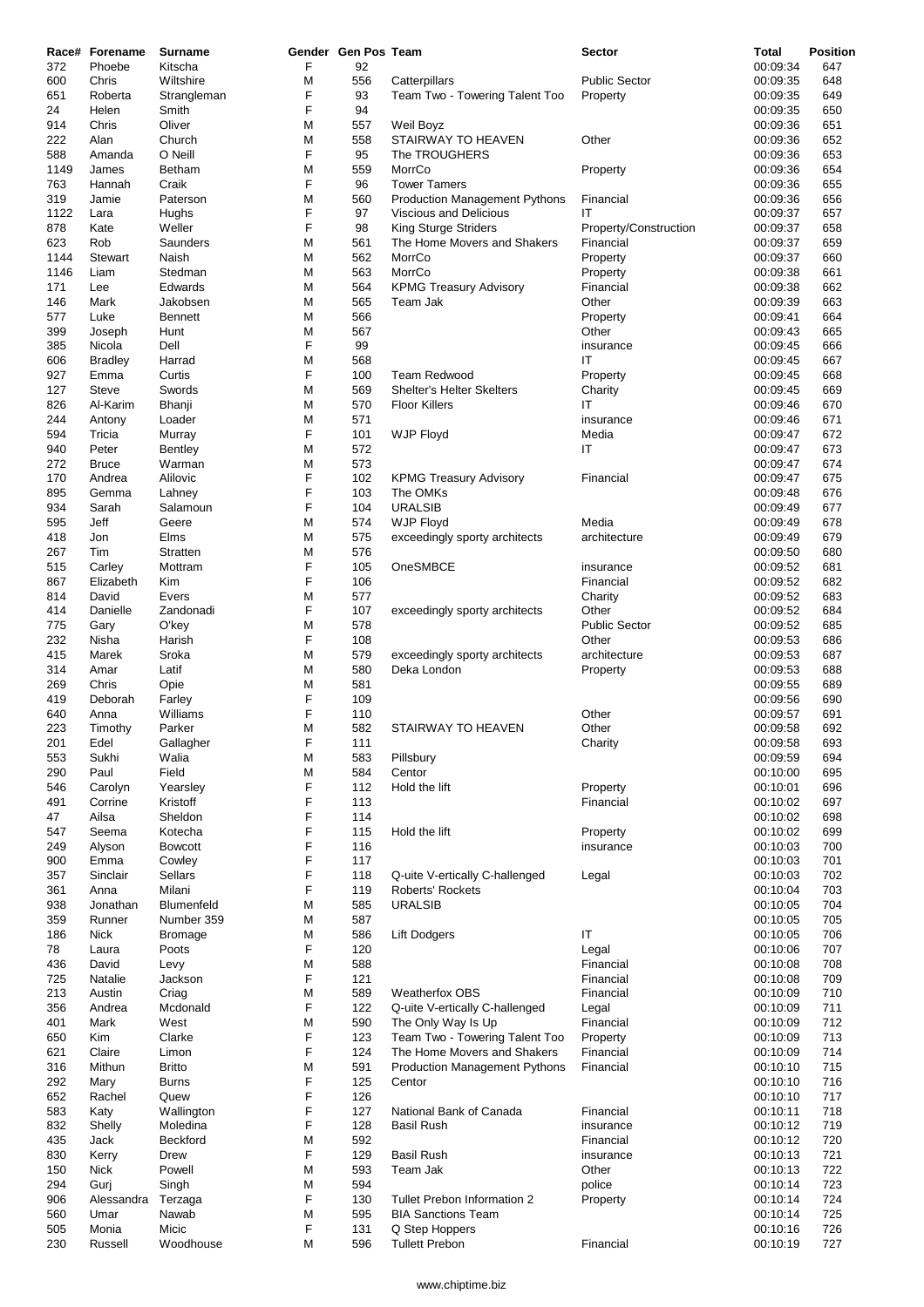|            | Race# Forename   | <b>Surname</b>         |        | Gender Gen Pos Team |                                                             | <b>Sector</b>         | Total                | <b>Position</b> |
|------------|------------------|------------------------|--------|---------------------|-------------------------------------------------------------|-----------------------|----------------------|-----------------|
| 372<br>600 | Phoebe<br>Chris  | Kitscha<br>Wiltshire   | F<br>M | 92<br>556           | Catterpillars                                               | <b>Public Sector</b>  | 00:09:34<br>00:09:35 | 647<br>648      |
| 651        | Roberta          | Strangleman            | F      | 93                  | Team Two - Towering Talent Too                              | Property              | 00:09:35             | 649             |
| 24         | Helen            | Smith                  | F      | 94                  |                                                             |                       | 00:09:35             | 650             |
| 914        | Chris            | Oliver                 | M      | 557                 | Weil Boyz                                                   |                       | 00:09:36             | 651             |
| 222        | Alan             | Church                 | M      | 558                 | <b>STAIRWAY TO HEAVEN</b>                                   | Other                 | 00:09:36             | 652             |
| 588        | Amanda           | O Neill                | F      | 95                  | The TROUGHERS                                               |                       | 00:09:36             | 653             |
| 1149       | James            | <b>Betham</b>          | M      | 559                 | MorrCo                                                      | Property              | 00:09:36             | 654             |
| 763<br>319 | Hannah<br>Jamie  | Craik<br>Paterson      | F<br>М | 96<br>560           | <b>Tower Tamers</b><br><b>Production Management Pythons</b> | Financial             | 00:09:36<br>00:09:36 | 655<br>656      |
| 1122       | Lara             | Hughs                  | F      | 97                  | Viscious and Delicious                                      | IT                    | 00:09:37             | 657             |
| 878        | Kate             | Weller                 | F      | 98                  | King Sturge Striders                                        | Property/Construction | 00:09:37             | 658             |
| 623        | Rob              | Saunders               | M      | 561                 | The Home Movers and Shakers                                 | Financial             | 00:09:37             | 659             |
| 1144       | <b>Stewart</b>   | Naish                  | M      | 562                 | MorrCo                                                      | Property              | 00:09:37             | 660             |
| 1146       | Liam             | Stedman                | M      | 563                 | MorrCo                                                      | Property              | 00:09:38             | 661             |
| 171        | Lee              | Edwards                | M      | 564                 | <b>KPMG Treasury Advisory</b>                               | Financial             | 00:09:38             | 662             |
| 146        | Mark             | Jakobsen               | М      | 565                 | Team Jak                                                    | Other                 | 00:09:39             | 663             |
| 577        | Luke             | <b>Bennett</b>         | М      | 566                 |                                                             | Property              | 00:09:41<br>00:09:43 | 664             |
| 399<br>385 | Joseph<br>Nicola | Hunt<br>Dell           | М<br>F | 567<br>99           |                                                             | Other<br>insurance    | 00:09:45             | 665<br>666      |
| 606        | <b>Bradley</b>   | Harrad                 | M      | 568                 |                                                             | IT                    | 00:09:45             | 667             |
| 927        | Emma             | Curtis                 | F      | 100                 | <b>Team Redwood</b>                                         | Property              | 00:09:45             | 668             |
| 127        | <b>Steve</b>     | Swords                 | M      | 569                 | <b>Shelter's Helter Skelters</b>                            | Charity               | 00:09:45             | 669             |
| 826        | Al-Karim         | Bhanji                 | М      | 570                 | <b>Floor Killers</b>                                        | IT                    | 00:09:46             | 670             |
| 244        | Antony           | Loader                 | M      | 571                 |                                                             | insurance             | 00:09:46             | 671             |
| 594        | Tricia           | Murray                 | F      | 101                 | <b>WJP Floyd</b>                                            | Media                 | 00:09:47             | 672             |
| 940        | Peter            | <b>Bentley</b>         | М      | 572                 |                                                             | ΙT                    | 00:09:47             | 673             |
| 272        | <b>Bruce</b>     | Warman                 | М      | 573                 |                                                             |                       | 00:09:47             | 674             |
| 170        | Andrea           | Alilovic               | F      | 102                 | <b>KPMG Treasury Advisory</b>                               | Financial             | 00:09:47             | 675             |
| 895        | Gemma            | Lahney                 | F<br>F | 103                 | The OMKs                                                    |                       | 00:09:48             | 676             |
| 934<br>595 | Sarah<br>Jeff    | Salamoun<br>Geere      | M      | 104<br>574          | <b>URALSIB</b><br><b>WJP Floyd</b>                          | Media                 | 00:09:49<br>00:09:49 | 677<br>678      |
| 418        | Jon              | Elms                   | M      | 575                 | exceedingly sporty architects                               | architecture          | 00:09:49             | 679             |
| 267        | Tim              | Stratten               | М      | 576                 |                                                             |                       | 00:09:50             | 680             |
| 515        | Carley           | Mottram                | F      | 105                 | OneSMBCE                                                    | insurance             | 00:09:52             | 681             |
| 867        | Elizabeth        | Kim                    | F      | 106                 |                                                             | Financial             | 00:09:52             | 682             |
| 814        | David            | Evers                  | М      | 577                 |                                                             | Charity               | 00:09:52             | 683             |
| 414        | Danielle         | Zandonadi              | F      | 107                 | exceedingly sporty architects                               | Other                 | 00:09:52             | 684             |
| 775        | Gary             | O'key                  | M      | 578                 |                                                             | <b>Public Sector</b>  | 00:09:52             | 685             |
| 232        | Nisha            | Harish                 | F      | 108                 |                                                             | Other                 | 00:09:53             | 686             |
| 415        | Marek            | Sroka                  | М<br>M | 579<br>580          | exceedingly sporty architects                               | architecture          | 00:09:53             | 687             |
| 314<br>269 | Amar<br>Chris    | Latif<br>Opie          | М      | 581                 | Deka London                                                 | Property              | 00:09:53<br>00:09:55 | 688<br>689      |
| 419        | Deborah          | Farley                 | F      | 109                 |                                                             |                       | 00:09:56             | 690             |
| 640        | Anna             | Williams               | F      | 110                 |                                                             | Other                 | 00:09:57             | 691             |
| 223        | Timothy          | Parker                 | M      | 582                 | STAIRWAY TO HEAVEN                                          | Other                 | 00:09:58             | 692             |
| 201        | Edel             | Gallagher              | F      | 111                 |                                                             | Charity               | 00:09:58             | 693             |
| 553        | Sukhi            | Walia                  | М      | 583                 | Pillsbury                                                   |                       | 00:09:59             | 694             |
| 290        | Paul             | Field                  | M      | 584                 | Centor                                                      |                       | 00:10:00             | 695             |
| 546        | Carolyn          | Yearsley               | F      | 112                 | Hold the lift                                               | Property              | 00:10:01             | 696             |
| 491<br>47  | Corrine<br>Ailsa | Kristoff<br>Sheldon    | F<br>F | 113<br>114          |                                                             | Financial             | 00:10:02<br>00:10:02 | 697<br>698      |
| 547        | Seema            | Kotecha                | F      | 115                 | Hold the lift                                               | Property              | 00:10:02             | 699             |
| 249        | Alyson           | <b>Bowcott</b>         | F      | 116                 |                                                             | insurance             | 00:10:03             | 700             |
| 900        | Emma             | Cowley                 | F      | 117                 |                                                             |                       | 00:10:03             | 701             |
| 357        | Sinclair         | Sellars                | F      | 118                 | Q-uite V-ertically C-hallenged                              | Legal                 | 00:10:03             | 702             |
| 361        | Anna             | Milani                 | F      | 119                 | Roberts' Rockets                                            |                       | 00:10:04             | 703             |
| 938        | Jonathan         | Blumenfeld             | M      | 585                 | <b>URALSIB</b>                                              |                       | 00:10:05             | 704             |
| 359        | Runner           | Number 359             | M      | 587                 |                                                             |                       | 00:10:05             | 705             |
| 186        | Nick             | <b>Bromage</b>         | M      | 586                 | <b>Lift Dodgers</b>                                         | ΙT                    | 00:10:05             | 706             |
| 78<br>436  | Laura<br>David   | Poots<br>Levy          | F<br>M | 120<br>588          |                                                             | Legal<br>Financial    | 00:10:06<br>00:10:08 | 707<br>708      |
| 725        | Natalie          | Jackson                | F      | 121                 |                                                             | Financial             | 00:10:08             | 709             |
| 213        | Austin           | Criag                  | M      | 589                 | <b>Weatherfox OBS</b>                                       | Financial             | 00:10:09             | 710             |
| 356        | Andrea           | Mcdonald               | F      | 122                 | Q-uite V-ertically C-hallenged                              | Legal                 | 00:10:09             | 711             |
| 401        | Mark             | West                   | M      | 590                 | The Only Way Is Up                                          | Financial             | 00:10:09             | 712             |
| 650        | Kim              | Clarke                 | F      | 123                 | Team Two - Towering Talent Too                              | Property              | 00:10:09             | 713             |
| 621        | Claire           | Limon                  | F      | 124                 | The Home Movers and Shakers                                 | Financial             | 00:10:09             | 714             |
| 316        | Mithun           | <b>Britto</b>          | M      | 591                 | <b>Production Management Pythons</b>                        | Financial             | 00:10:10             | 715             |
| 292        | Mary             | <b>Burns</b>           | F<br>F | 125                 | Centor                                                      |                       | 00:10:10             | 716             |
| 652        | Rachel           | Quew                   | F      | 126                 | National Bank of Canada                                     | Financial             | 00:10:10<br>00:10:11 | 717<br>718      |
| 583<br>832 | Katy<br>Shelly   | Wallington<br>Moledina | F      | 127<br>128          | <b>Basil Rush</b>                                           | insurance             | 00:10:12             | 719             |
| 435        | Jack             | Beckford               | M      | 592                 |                                                             | Financial             | 00:10:12             | 720             |
| 830        | Kerry            | <b>Drew</b>            | F      | 129                 | <b>Basil Rush</b>                                           | insurance             | 00:10:13             | 721             |
| 150        | Nick             | Powell                 | M      | 593                 | Team Jak                                                    | Other                 | 00:10:13             | 722             |
| 294        | Gurj             | Singh                  | M      | 594                 |                                                             | police                | 00:10:14             | 723             |
| 906        | Alessandra       | Terzaga                | F      | 130                 | Tullet Prebon Information 2                                 | Property              | 00:10:14             | 724             |
| 560        | Umar             | Nawab                  | M      | 595                 | <b>BIA Sanctions Team</b>                                   |                       | 00:10:14             | 725             |
| 505        | Monia            | Micic                  | F<br>M | 131                 | Q Step Hoppers                                              |                       | 00:10:16             | 726             |
| 230        | Russell          | Woodhouse              |        | 596                 | <b>Tullett Prebon</b>                                       | Financial             | 00:10:19             | 727             |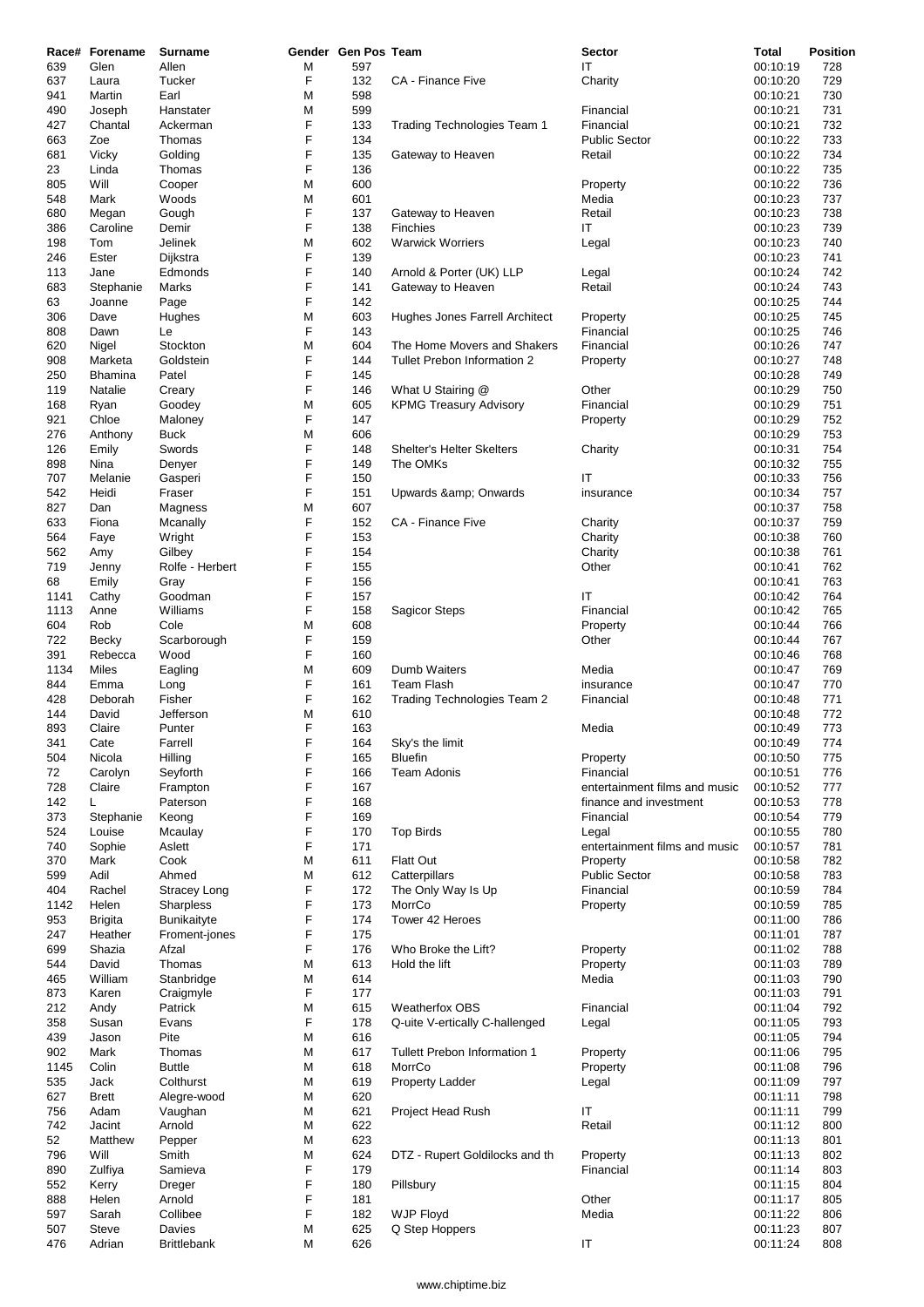|      | Race# Forename | <b>Surname</b>      |   | Gender Gen Pos Team |                                | <b>Sector</b>                 | <b>Total</b> | <b>Position</b> |
|------|----------------|---------------------|---|---------------------|--------------------------------|-------------------------------|--------------|-----------------|
| 639  | Glen           | Allen               | М | 597                 |                                | ΙT                            | 00:10:19     | 728             |
| 637  | Laura          | Tucker              | F | 132                 | CA - Finance Five              | Charity                       | 00:10:20     | 729             |
| 941  | Martin         | Earl                | М | 598                 |                                |                               | 00:10:21     | 730             |
| 490  | Joseph         | Hanstater           | M | 599                 |                                | Financial                     | 00:10:21     | 731             |
| 427  | Chantal        | Ackerman            | F | 133                 | Trading Technologies Team 1    | Financial                     | 00:10:21     | 732             |
| 663  | Zoe            | Thomas              | F | 134                 |                                | <b>Public Sector</b>          | 00:10:22     | 733             |
| 681  | Vicky          | Golding             | F | 135                 | Gateway to Heaven              | Retail                        | 00:10:22     | 734             |
| 23   | Linda          | Thomas              | F | 136                 |                                |                               | 00:10:22     | 735             |
| 805  | Will           | Cooper              | М | 600                 |                                | Property                      | 00:10:22     | 736             |
| 548  | Mark           | Woods               | M | 601                 |                                | Media                         | 00:10:23     | 737             |
| 680  | Megan          | Gough               | F | 137                 | Gateway to Heaven              | Retail                        | 00:10:23     | 738             |
| 386  | Caroline       | Demir               | F | 138                 | <b>Finchies</b>                | IT                            | 00:10:23     | 739             |
| 198  | Tom            | Jelinek             | М | 602                 | <b>Warwick Worriers</b>        | Legal                         | 00:10:23     | 740             |
| 246  | Ester          | Dijkstra            | F | 139                 |                                |                               | 00:10:23     | 741             |
| 113  | Jane           | Edmonds             | F | 140                 | Arnold & Porter (UK) LLP       | Legal                         | 00:10:24     | 742             |
| 683  | Stephanie      | Marks               | F | 141                 | Gateway to Heaven              | Retail                        | 00:10:24     | 743             |
| 63   | Joanne         | Page                | F | 142                 |                                |                               | 00:10:25     | 744             |
| 306  | Dave           | Hughes              | М | 603                 | Hughes Jones Farrell Architect | Property                      | 00:10:25     | 745             |
| 808  | Dawn           | Le                  | F | 143                 |                                | Financial                     | 00:10:25     | 746             |
| 620  | Nigel          | Stockton            | M | 604                 | The Home Movers and Shakers    | Financial                     | 00:10:26     | 747             |
| 908  | Marketa        | Goldstein           | F | 144                 | Tullet Prebon Information 2    | Property                      | 00:10:27     | 748             |
| 250  | <b>Bhamina</b> | Patel               | F | 145                 |                                |                               | 00:10:28     | 749             |
| 119  | Natalie        | Creary              | F | 146                 | What U Stairing @              | Other                         | 00:10:29     | 750             |
| 168  | Ryan           | Goodey              | М | 605                 | <b>KPMG Treasury Advisory</b>  | Financial                     | 00:10:29     | 751             |
| 921  | Chloe          | Maloney             | F | 147                 |                                | Property                      | 00:10:29     | 752             |
| 276  | Anthony        | <b>Buck</b>         | M | 606                 |                                |                               | 00:10:29     | 753             |
| 126  | Emily          | Swords              | F | 148                 | Shelter's Helter Skelters      | Charity                       | 00:10:31     | 754             |
| 898  | Nina           | Denyer              | F | 149                 | The OMKs                       |                               | 00:10:32     | 755             |
| 707  | Melanie        | Gasperi             | F | 150                 |                                | IT                            | 00:10:33     | 756             |
| 542  | Heidi          | Fraser              | F | 151                 | Upwards & Onwards              | insurance                     | 00:10:34     | 757             |
| 827  | Dan            | Magness             | М | 607                 |                                |                               | 00:10:37     | 758             |
| 633  | Fiona          | Mcanally            | F | 152                 | CA - Finance Five              | Charity                       | 00:10:37     | 759             |
| 564  | Faye           | Wright              | F | 153                 |                                | Charity                       | 00:10:38     | 760             |
| 562  | Amy            | Gilbey              | F | 154                 |                                | Charity                       | 00:10:38     | 761             |
| 719  | Jenny          | Rolfe - Herbert     | F | 155                 |                                | Other                         | 00:10:41     | 762             |
| 68   | Emily          | Gray                | F | 156                 |                                |                               | 00:10:41     | 763             |
| 1141 | Cathy          | Goodman             | F | 157                 |                                | ΙT                            | 00:10:42     | 764             |
| 1113 | Anne           | Williams            | F | 158                 | <b>Sagicor Steps</b>           | Financial                     | 00:10:42     | 765             |
| 604  | Rob            | Cole                | M | 608                 |                                | Property                      | 00:10:44     | 766             |
| 722  | Becky          | Scarborough         | F | 159                 |                                | Other                         | 00:10:44     | 767             |
| 391  | Rebecca        | Wood                | F | 160                 |                                |                               | 00:10:46     | 768             |
| 1134 | Miles          | Eagling             | М | 609                 | Dumb Waiters                   | Media                         | 00:10:47     | 769             |
| 844  | Emma           | Long                | F | 161                 | <b>Team Flash</b>              | insurance                     | 00:10:47     | 770             |
| 428  | Deborah        | Fisher              | F | 162                 | Trading Technologies Team 2    | Financial                     | 00:10:48     | 771             |
| 144  | David          | Jefferson           | M | 610                 |                                |                               | 00:10:48     | 772             |
| 893  | Claire         | Punter              | F | 163                 |                                | Media                         | 00:10:49     | 773             |
| 341  | Cate           | Farrell             | F | 164                 | Sky's the limit                |                               | 00:10:49     | 774             |
| 504  | Nicola         | Hilling             | F | 165                 | <b>Bluefin</b>                 | Property                      | 00:10:50     | 775             |
| 72   | Carolyn        | Seyforth            | F | 166                 | Team Adonis                    | Financial                     | 00:10:51     | 776             |
| 728  | Claire         | Frampton            | F | 167                 |                                | entertainment films and music | 00:10:52     | 777             |
| 142  | L              | Paterson            | F | 168                 |                                | finance and investment        | 00:10:53     | 778             |
| 373  | Stephanie      | Keong               | F | 169                 |                                | Financial                     | 00:10:54     | 779             |
| 524  | Louise         | Mcaulay             | F | 170                 | <b>Top Birds</b>               | Legal                         | 00:10:55     | 780             |
| 740  | Sophie         | Aslett              | F | 171                 |                                | entertainment films and music | 00:10:57     | 781             |
| 370  | Mark           | Cook                | М | 611                 | <b>Flatt Out</b>               | Property                      | 00:10:58     | 782             |
| 599  | Adil           | Ahmed               | М | 612                 | Catterpillars                  | <b>Public Sector</b>          | 00:10:58     | 783             |
| 404  | Rachel         | <b>Stracey Long</b> | F | 172                 | The Only Way Is Up             | Financial                     | 00:10:59     | 784             |
| 1142 | Helen          | Sharpless           | F | 173                 | MorrCo                         | Property                      | 00:10:59     | 785             |
| 953  | <b>Brigita</b> | Bunikaityte         | F | 174                 | Tower 42 Heroes                |                               | 00:11:00     | 786             |
| 247  | Heather        | Froment-jones       | F | 175                 |                                |                               | 00:11:01     | 787             |
| 699  | Shazia         | Afzal               | F | 176                 | Who Broke the Lift?            | Property                      | 00:11:02     | 788             |
| 544  | David          | Thomas              | М | 613                 | Hold the lift                  | Property                      | 00:11:03     | 789             |
| 465  | William        | Stanbridge          | M | 614                 |                                | Media                         | 00:11:03     | 790             |
| 873  | Karen          | Craigmyle           | F | 177                 |                                |                               | 00:11:03     | 791             |
| 212  | Andy           | Patrick             | М | 615                 | <b>Weatherfox OBS</b>          | Financial                     | 00:11:04     | 792             |
| 358  | Susan          | Evans               | F | 178                 | Q-uite V-ertically C-hallenged | Legal                         | 00:11:05     | 793             |
| 439  | Jason          | Pite                | M | 616                 |                                |                               | 00:11:05     | 794             |
| 902  | Mark           | Thomas              | M | 617                 | Tullett Prebon Information 1   | Property                      | 00:11:06     | 795             |
| 1145 | Colin          | <b>Buttle</b>       | M | 618                 | MorrCo                         | Property                      | 00:11:08     | 796             |
| 535  | Jack           | Colthurst           | M | 619                 | <b>Property Ladder</b>         | Legal                         | 00:11:09     | 797             |
| 627  | <b>Brett</b>   | Alegre-wood         | M | 620                 |                                |                               | 00:11:11     | 798             |
| 756  | Adam           | Vaughan             | M | 621                 | Project Head Rush              | IT                            | 00:11:11     | 799             |
| 742  | Jacint         | Arnold              | M | 622                 |                                | Retail                        | 00:11:12     | 800             |
| 52   | Matthew        | Pepper              | М | 623                 |                                |                               | 00:11:13     | 801             |
| 796  | Will           | Smith               | M | 624                 | DTZ - Rupert Goldilocks and th | Property                      | 00:11:13     | 802             |
| 890  | Zulfiya        | Samieva             | F | 179                 |                                | Financial                     | 00:11:14     | 803             |
| 552  | Kerry          | Dreger              | F | 180                 | Pillsbury                      |                               | 00:11:15     | 804             |
| 888  | Helen          | Arnold              | F | 181                 |                                | Other                         | 00:11:17     | 805             |
| 597  | Sarah          | Collibee            | F | 182                 | <b>WJP Floyd</b>               | Media                         | 00:11:22     | 806             |
| 507  | Steve          | Davies              | M | 625                 | Q Step Hoppers                 |                               | 00:11:23     | 807             |
| 476  | Adrian         | <b>Brittlebank</b>  | M | 626                 |                                | IT                            | 00:11:24     | 808             |